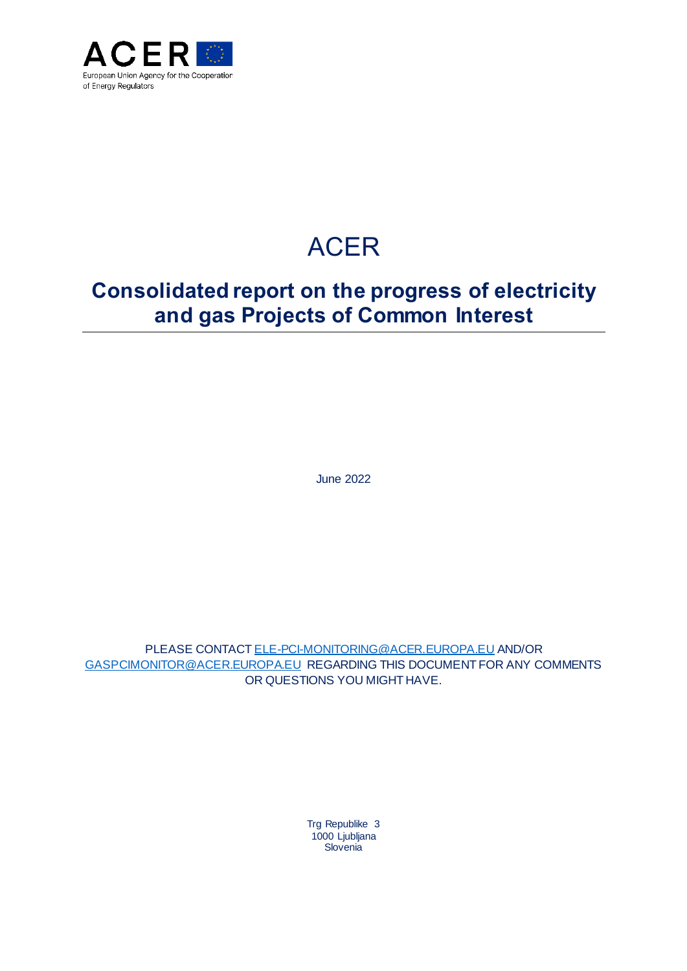

# ACER

# **Consolidated report on the progress of electricity and gas Projects of Common Interest**

June 2022

PLEASE CONTAC[T ELE-PCI-MONITORING@ACER.EUROPA.EU](mailto:Ele-PCI-Monitoring@acer.europa.eu) AND/OR [GASPCIMONITOR@ACER.EUROPA.EU](mailto:GasPciMonitor@acer.europa.eu) REGARDING THIS DOCUMENT FOR ANY COMMENTS OR QUESTIONS YOU MIGHT HAVE.

> Trg Republike 3 1000 Ljubljana Slovenia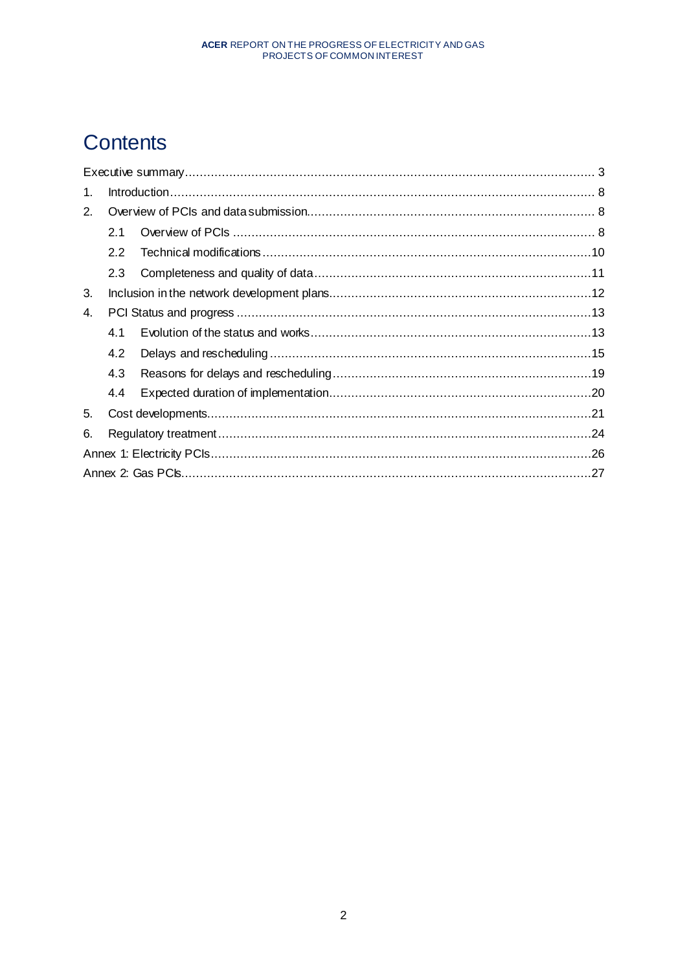# **Contents**

| 1. |     |  |  |  |
|----|-----|--|--|--|
| 2. |     |  |  |  |
|    | 2.1 |  |  |  |
|    | 2.2 |  |  |  |
|    | 2.3 |  |  |  |
| 3. |     |  |  |  |
| 4. |     |  |  |  |
|    | 4.1 |  |  |  |
|    | 4.2 |  |  |  |
|    | 4.3 |  |  |  |
|    | 4.4 |  |  |  |
| 5. |     |  |  |  |
| 6. |     |  |  |  |
|    |     |  |  |  |
|    |     |  |  |  |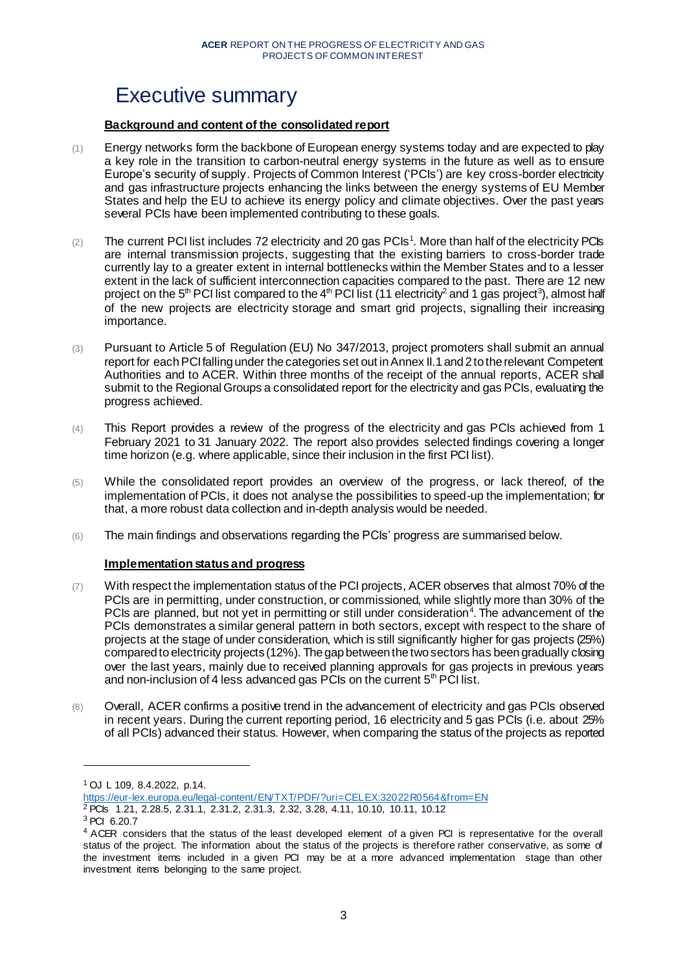# <span id="page-2-0"></span>Executive summary

# **Background and content of the consolidated report**

- (1) Energy networks form the backbone of European energy systems today and are expected to play a key role in the transition to carbon-neutral energy systems in the future as well as to ensure Europe's security of supply. Projects of Common Interest ('PCIs') are key cross-border electricity and gas infrastructure projects enhancing the links between the energy systems of EU Member States and help the EU to achieve its energy policy and climate objectives. Over the past years several PCIs have been implemented contributing to these goals.
- $(2)$  The current PCI list includes 72 electricity and 20 gas PCIs<sup>1</sup>. More than half of the electricity PCIs are internal transmission projects, suggesting that the existing barriers to cross-border trade currently lay to a greater extent in internal bottlenecks within the Member States and to a lesser extent in the lack of sufficient interconnection capacities compared to the past. There are 12 new project on the 5<sup>th</sup> PCI list compared to the 4<sup>th</sup> PCI list (11 electricity<sup>2</sup> and 1 gas project<sup>3</sup>), almost half of the new projects are electricity storage and smart grid projects, signalling their increasing importance.
- (3) Pursuant to Article 5 of Regulation (EU) No 347/2013, project promoters shall submit an annual report for each PCI falling under the categories set out in Annex II.1 and 2 to the relevant Competent Authorities and to ACER. Within three months of the receipt of the annual reports, ACER shall submit to the Regional Groups a consolidated report for the electricity and gas PCIs, evaluating the progress achieved.
- (4) This Report provides a review of the progress of the electricity and gas PCIs achieved from 1 February 2021 to 31 January 2022. The report also provides selected findings covering a longer time horizon (e.g. where applicable, since their inclusion in the first PCI list).
- (5) While the consolidated report provides an overview of the progress, or lack thereof, of the implementation of PCIs, it does not analyse the possibilities to speed-up the implementation; for that, a more robust data collection and in-depth analysis would be needed.
- (6) The main findings and observations regarding the PCIs' progress are summarised below.

# **Implementation status and progress**

- (7) With respect the implementation status of the PCI projects, ACER observes that almost 70% of the PCIs are in permitting, under construction, or commissioned, while slightly more than 30% of the PCIs are planned, but not yet in permitting or still under consideration<sup>4</sup>. The advancement of the PCIs demonstrates a similar general pattern in both sectors, except with respect to the share of projects at the stage of under consideration, which is still significantly higher for gas projects (25%) compared to electricity projects(12%). The gap between the two sectors has been gradually closing over the last years, mainly due to received planning approvals for gas projects in previous years and non-inclusion of 4 less advanced gas PCIs on the current  $5<sup>th</sup>$  PCI list.
- (8) Overall, ACER confirms a positive trend in the advancement of electricity and gas PCIs observed in recent years. During the current reporting period, 16 electricity and 5 gas PCIs (i.e. about 25% of all PCIs) advanced their status. However, when comparing the status of the projects as reported

<https://eur-lex.europa.eu/legal-content/EN/TXT/PDF/?uri=CELEX:32022R0564&from=EN>

<sup>1</sup> OJ L 109, 8.4.2022, p.14.

<sup>2</sup> PCIs 1.21, 2.28.5, 2.31.1, 2.31.2, 2.31.3, 2.32, 3.28, 4.11, 10.10, 10.11, 10.12

<sup>3</sup> PCI 6.20.7

<sup>4</sup> ACER considers that the status of the least developed element of a given PCI is representative for the overall status of the project. The information about the status of the projects is therefore rather conservative, as some of the investment items included in a given PCI may be at a more advanced implementation stage than other investment items belonging to the same project.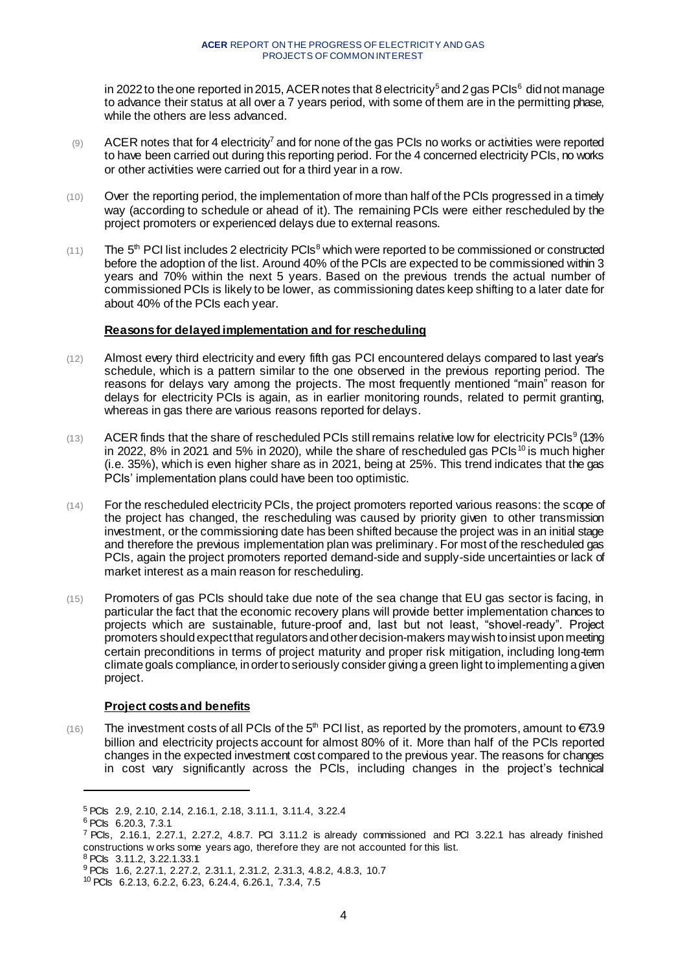in 2022 to the one reported in 2015, ACER notes that 8 electricity<sup>5</sup> and 2 gas PCIs<sup>6</sup> did not manage to advance their status at all over a 7 years period, with some of them are in the permitting phase, while the others are less advanced.

- $(9)$  ACER notes that for 4 electricity<sup>7</sup> and for none of the gas PCIs no works or activities were reported to have been carried out during this reporting period. For the 4 concerned electricity PCIs, no works or other activities were carried out for a third year in a row.
- (10) Over the reporting period, the implementation of more than half of the PCIs progressed in a timely way (according to schedule or ahead of it). The remaining PCIs were either rescheduled by the project promoters or experienced delays due to external reasons.
- $(11)$  The 5<sup>th</sup> PCI list includes 2 electricity PCIs<sup>8</sup> which were reported to be commissioned or constructed before the adoption of the list. Around 40% of the PCIs are expected to be commissioned within 3 years and 70% within the next 5 years. Based on the previous trends the actual number of commissioned PCIs is likely to be lower, as commissioning dates keep shifting to a later date for about 40% of the PCIs each year.

### **Reasons for delayed implementation and for rescheduling**

- (12) Almost every third electricity and every fifth gas PCI encountered delays compared to last year's schedule, which is a pattern similar to the one observed in the previous reporting period. The reasons for delays vary among the projects. The most frequently mentioned "main" reason for delays for electricity PCIs is again, as in earlier monitoring rounds, related to permit granting, whereas in gas there are various reasons reported for delays.
- $(13)$  ACER finds that the share of rescheduled PCIs still remains relative low for electricity PCIs<sup>9</sup> (13%) in 2022, 8% in 2021 and 5% in 2020), while the share of rescheduled gas PCIs<sup>10</sup> is much higher (i.e. 35%), which is even higher share as in 2021, being at 25%. This trend indicates that the gas PCIs' implementation plans could have been too optimistic.
- (14) For the rescheduled electricity PCIs, the project promoters reported various reasons: the scope of the project has changed, the rescheduling was caused by priority given to other transmission investment, or the commissioning date has been shifted because the project was in an initial stage and therefore the previous implementation plan was preliminary. For most of the rescheduled gas PCIs, again the project promoters reported demand-side and supply-side uncertainties or lack of market interest as a main reason for rescheduling.
- (15) Promoters of gas PCIs should take due note of the sea change that EU gas sector is facing, in particular the fact that the economic recovery plans will provide better implementation chances to projects which are sustainable, future-proof and, last but not least, "shovel-ready". Project promoters should expect that regulators and other decision-makers may wish to insist upon meeting certain preconditions in terms of project maturity and proper risk mitigation, including long-term climate goals compliance, in order to seriously consider giving a green light to implementing a given project.

# **Project costs and benefits**

(16) The investment costs of all PCIs of the 5<sup>th</sup> PCI list, as reported by the promoters, amount to  $\epsilon$ 73.9 billion and electricity projects account for almost 80% of it. More than half of the PCIs reported changes in the expected investment cost compared to the previous year. The reasons for changes in cost vary significantly across the PCIs, including changes in the project's technical

<sup>5</sup> PCIs 2.9, 2.10, 2.14, 2.16.1, 2.18, 3.11.1, 3.11.4, 3.22.4

<sup>6</sup> PCIs 6.20.3, 7.3.1

<sup>&</sup>lt;sup>7</sup> PCIs, 2.16.1, 2.27.1, 2.27.2, 4.8.7. PCI 3.11.2 is already commissioned and PCI 3.22.1 has already finished constructions w orks some years ago, therefore they are not accounted for this list.

<sup>8</sup> PCIs 3.11.2, 3.22.1.33.1

<sup>&</sup>lt;sup>9</sup> PCIs 1.6, 2.27.1, 2.27.2, 2.31.1, 2.31.2, 2.31.3, 4.8.2, 4.8.3, 10.7

<sup>10</sup> PCIs 6.2.13, 6.2.2, 6.23, 6.24.4, 6.26.1, 7.3.4, 7.5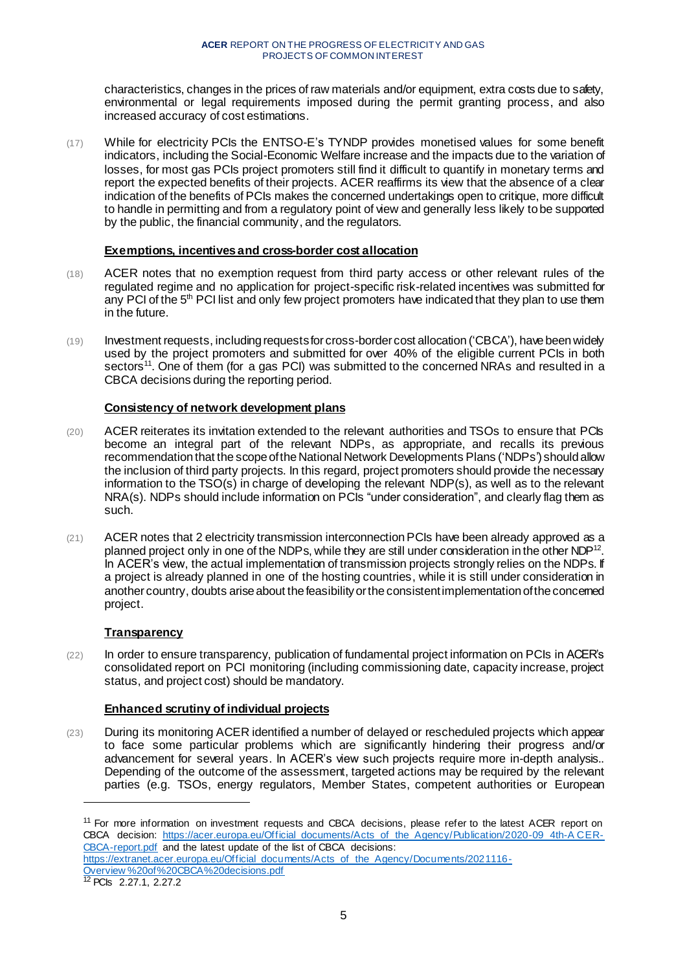characteristics, changes in the prices of raw materials and/or equipment, extra costs due to safety, environmental or legal requirements imposed during the permit granting process, and also increased accuracy of cost estimations.

(17) While for electricity PCIs the ENTSO-E's TYNDP provides monetised values for some benefit indicators, including the Social-Economic Welfare increase and the impacts due to the variation of losses, for most gas PCIs project promoters still find it difficult to quantify in monetary terms and report the expected benefits of their projects. ACER reaffirms its view that the absence of a clear indication of the benefits of PCIs makes the concerned undertakings open to critique, more difficult to handle in permitting and from a regulatory point of view and generally less likely to be supported by the public, the financial community, and the regulators.

# **Exemptions, incentives and cross-border cost allocation**

- (18) ACER notes that no exemption request from third party access or other relevant rules of the regulated regime and no application for project-specific risk-related incentives was submitted for any PCI of the 5<sup>th</sup> PCI list and only few project promoters have indicated that they plan to use them in the future.
- (19) Investment requests, including requestsfor cross-border cost allocation ('CBCA'), have been widely used by the project promoters and submitted for over 40% of the eligible current PCIs in both sectors<sup>11</sup>. One of them (for a gas PCI) was submitted to the concerned NRAs and resulted in a CBCA decisions during the reporting period.

# **Consistency of network development plans**

- (20) ACER reiterates its invitation extended to the relevant authorities and TSOs to ensure that PCIs become an integral part of the relevant NDPs, as appropriate, and recalls its previous recommendation that the scope of the National Network Developments Plans ('NDPs') should allow the inclusion of third party projects. In this regard, project promoters should provide the necessary information to the TSO(s) in charge of developing the relevant NDP(s), as well as to the relevant NRA(s). NDPs should include information on PCIs "under consideration", and clearly flag them as such.
- $(21)$  ACER notes that 2 electricity transmission interconnection PCIs have been already approved as a planned project only in one of the NDPs, while they are still under consideration in the other NDP<sup>12</sup>. In ACER's view, the actual implementation of transmission projects strongly relies on the NDPs. If a project is already planned in one of the hosting countries, while it is still under consideration in another country, doubts arise about the feasibility or the consistentimplementation of the concerned project.

# **Transparency**

(22) In order to ensure transparency, publication of fundamental project information on PCIs in ACER's consolidated report on PCI monitoring (including commissioning date, capacity increase, project status, and project cost) should be mandatory.

# **Enhanced scrutiny of individual projects**

(23) During its monitoring ACER identified a number of delayed or rescheduled projects which appear to face some particular problems which are significantly hindering their progress and/or advancement for several years. In ACER's view such projects require more in-depth analysis.. Depending of the outcome of the assessment, targeted actions may be required by the relevant parties (e.g. TSOs, energy regulators, Member States, competent authorities or European

<sup>11</sup> For more information on investment requests and CBCA decisions, please refer to the latest ACER report on CBCA decision: https://acer.europa.eu/Official documents/Acts of the Agency/Publication/2020-09\_4th-A CER-[CBCA-report.pdf](https://acer.europa.eu/Official_documents/Acts_of_the_Agency/Publication/2020-09_4th-ACER-CBCA-report.pdf) and the latest update of the list of CBCA decisions: [https://extranet.acer.europa.eu/Official\\_documents/Acts\\_of\\_the\\_Agency/Documents/2021116-](https://extranet.acer.europa.eu/Official_documents/Acts_of_the_Agency/Documents/2021116-Overview%20of%20CBCA%20decisions.pdf) [Overview %20of%20CBCA%20decisions.pdf](https://extranet.acer.europa.eu/Official_documents/Acts_of_the_Agency/Documents/2021116-Overview%20of%20CBCA%20decisions.pdf)

<sup>12</sup> PCIs 2.27.1, 2.27.2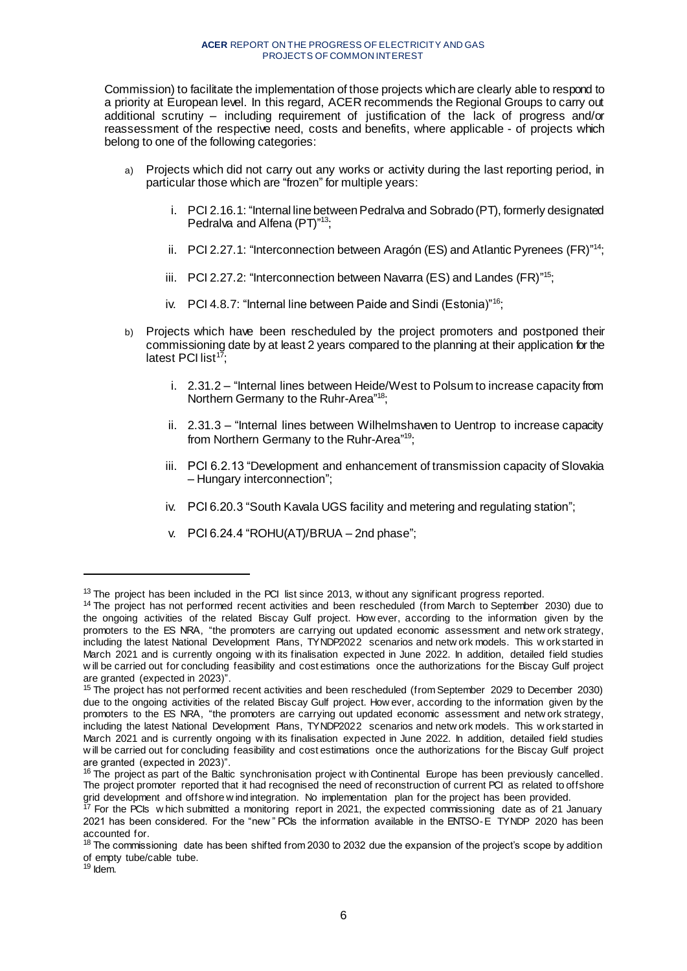Commission) to facilitate the implementation of those projects which are clearly able to respond to a priority at European level. In this regard, ACER recommends the Regional Groups to carry out additional scrutiny – including requirement of justification of the lack of progress and/or reassessment of the respective need, costs and benefits, where applicable - of projects which belong to one of the following categories:

- a) Projects which did not carry out any works or activity during the last reporting period, in particular those which are "frozen" for multiple years:
	- i. PCI 2.16.1: "Internal line between Pedralva and Sobrado (PT), formerly designated Pedralva and Alfena (PT)"<sup>13</sup>;
	- ii. PCI 2.27.1: "Interconnection between Aragón (ES) and Atlantic Pyrenees (FR)"<sup>14</sup>;
	- iii. PCI 2.27.2: "Interconnection between Navarra (ES) and Landes (FR)"<sup>15</sup>;
	- iv. PCI 4.8.7: "Internal line between Paide and Sindi (Estonia)"<sup>16</sup>;
- b) Projects which have been rescheduled by the project promoters and postponed their commissioning date by at least 2 years compared to the planning at their application for the latest PCI list<sup>17</sup>;
	- i. 2.31.2 "Internal lines between Heide/West to Polsum to increase capacity from Northern Germany to the Ruhr-Area"<sup>18</sup>;
	- ii. 2.31.3 "Internal lines between Wilhelmshaven to Uentrop to increase capacity from Northern Germany to the Ruhr-Area"<sup>19</sup>;
	- iii. PCI 6.2.13 "Development and enhancement of transmission capacity of Slovakia – Hungary interconnection";
	- iv. PCI 6.20.3 "South Kavala UGS facility and metering and regulating station";
	- v. PCI 6.24.4 "ROHU(AT)/BRUA 2nd phase";

 $13$  The project has been included in the PCI list since 2013, without any significant progress reported.

<sup>&</sup>lt;sup>14</sup> The project has not performed recent activities and been rescheduled (from March to September 2030) due to the ongoing activities of the related Biscay Gulf project. How ever, according to the information given by the promoters to the ES NRA, "the promoters are carrying out updated economic assessment and netw ork strategy, including the latest National Development Plans, TYNDP2022 scenarios and netw ork models. This w ork started in March 2021 and is currently ongoing w ith its finalisation expected in June 2022. In addition, detailed field studies w ill be carried out for concluding feasibility and cost estimations once the authorizations for the Biscay Gulf project are granted (expected in 2023)".

<sup>15</sup> The project has not performed recent activities and been rescheduled (from September 2029 to December 2030) due to the ongoing activities of the related Biscay Gulf project. How ever, according to the information given by the promoters to the ES NRA, "the promoters are carrying out updated economic assessment and netw ork strategy, including the latest National Development Plans, TYNDP2022 scenarios and netw ork models. This w ork started in March 2021 and is currently ongoing w ith its finalisation expected in June 2022. In addition, detailed field studies w ill be carried out for concluding feasibility and cost estimations once the authorizations for the Biscay Gulf project are granted (expected in 2023)".

 $16$  The project as part of the Baltic synchronisation project with Continental Europe has been previously cancelled. The project promoter reported that it had recognised the need of reconstruction of current PCI as related to offshore grid development and offshore w ind integration. No implementation plan for the project has been provided.

 $17$  For the PCIs w hich submitted a monitoring report in 2021, the expected commissioning date as of 21 January 2021 has been considered. For the "new " PCIs the information available in the ENTSO-E TYNDP 2020 has been accounted for.

<sup>&</sup>lt;sup>18</sup> The commissioning date has been shifted from 2030 to 2032 due the expansion of the project's scope by addition of empty tube/cable tube.

 $19$  Idem.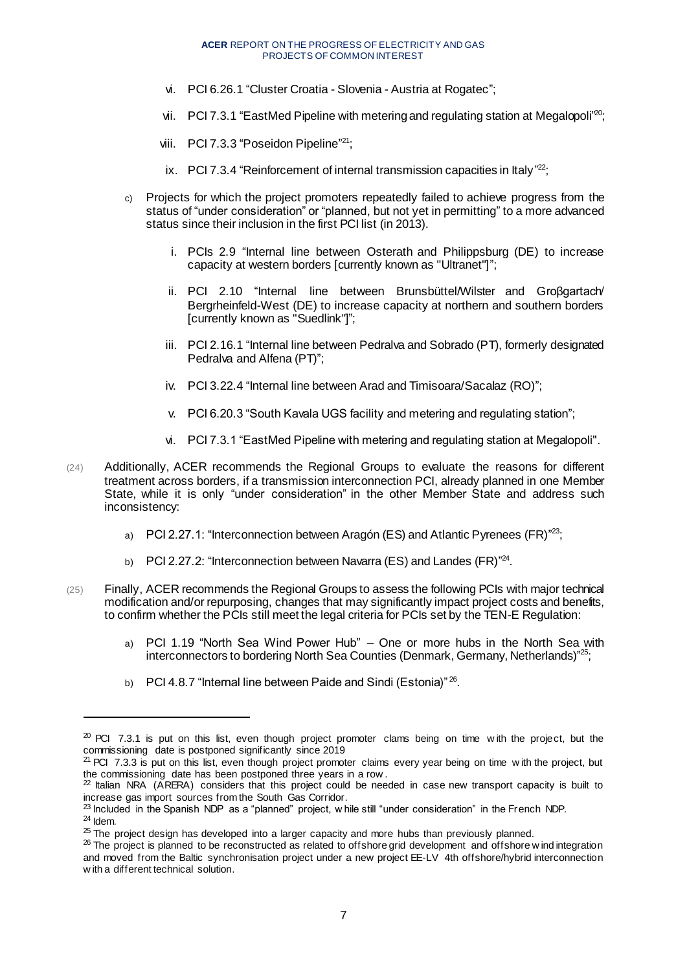- vi. PCI 6.26.1 "Cluster Croatia Slovenia Austria at Rogatec";
- vii. PCI 7.3.1 "EastMed Pipeline with metering and regulating station at Megalopoli<sup>20</sup>;
- viii. PCI 7.3.3 "Poseidon Pipeline"<sup>21</sup>;
- ix. PCI 7.3.4 "Reinforcement of internal transmission capacities in Italy"<sup>22</sup>;
- c) Projects for which the project promoters repeatedly failed to achieve progress from the status of "under consideration" or "planned, but not yet in permitting" to a more advanced status since their inclusion in the first PCI list (in 2013).
	- i. PCIs 2.9 "Internal line between Osterath and Philippsburg (DE) to increase capacity at western borders [currently known as "Ultranet"]";
	- ii. PCI 2.10 "Internal line between Brunsbüttel/Wilster and Grοβgartach/ Bergrheinfeld-West (DE) to increase capacity at northern and southern borders [currently known as "Suedlink"]";
	- iii. PCI 2.16.1 "Internal line between Pedralva and Sobrado (PT), formerly designated Pedralva and Alfena (PT)";
	- iv. PCI 3.22.4 "Internal line between Arad and Timisoara/Sacalaz (RO)";
	- v. PCI 6.20.3 "South Kavala UGS facility and metering and regulating station";
	- vi. PCI 7.3.1 "EastMed Pipeline with metering and regulating station at Megalopoli".
- (24) Additionally, ACER recommends the Regional Groups to evaluate the reasons for different treatment across borders, if a transmission interconnection PCI, already planned in one Member State, while it is only "under consideration" in the other Member State and address such inconsistency:
	- a) PCI 2.27.1: "Interconnection between Aragón (ES) and Atlantic Pyrenees (FR)"<sup>23</sup>;
	- b) PCI 2.27.2: "Interconnection between Navarra (ES) and Landes (FR)"<sup>24</sup>.
- (25) Finally, ACER recommends the Regional Groups to assess the following PCIs with major technical modification and/or repurposing, changes that may significantly impact project costs and benefits, to confirm whether the PCIs still meet the legal criteria for PCIs set by the TEN-E Regulation:
	- a) PCI 1.19 "North Sea Wind Power Hub" One or more hubs in the North Sea with interconnectors to bordering North Sea Counties (Denmark, Germany, Netherlands)"<sup>25</sup>;
	- b) PCI 4.8.7 "Internal line between Paide and Sindi (Estonia)"  $^{26}$ .

- $^{23}$  Included in the Spanish NDP as a "planned" project, w hile still "under consideration" in the French NDP.
- <sup>24</sup> Idem.

 $20$  PCI 7.3.1 is put on this list, even though project promoter clams being on time with the project, but the commissioning date is postponed significantly since 2019

<sup>&</sup>lt;sup>21</sup> PCI 7.3.3 is put on this list, even though project promoter claims every year being on time with the project, but the commissioning date has been postponed three years in a row .

 $^{22}$  Italian NRA (ARERA) considers that this project could be needed in case new transport capacity is built to increase gas import sources from the South Gas Corridor.

<sup>&</sup>lt;sup>25</sup> The project design has developed into a larger capacity and more hubs than previously planned.

 $^{26}$  The project is planned to be reconstructed as related to offshore grid development and offshore w indintegration and moved from the Baltic synchronisation project under a new project EE-LV 4th offshore/hybrid interconnection w ith a different technical solution.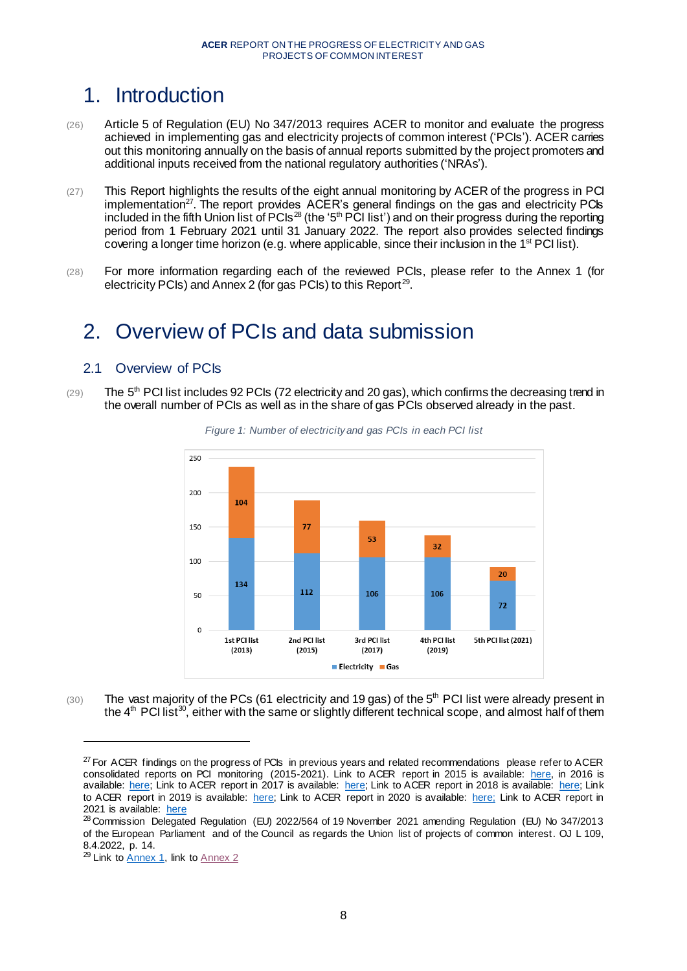# <span id="page-7-0"></span>1. Introduction

- (26) Article 5 of Regulation (EU) No 347/2013 requires ACER to monitor and evaluate the progress achieved in implementing gas and electricity projects of common interest ('PCIs'). ACER carries out this monitoring annually on the basis of annual reports submitted by the project promoters and additional inputs received from the national regulatory authorities ('NRAs').
- (27) This Report highlights the results of the eight annual monitoring by ACER of the progress in PCI implementation<sup>27</sup>. The report provides ACER's general findings on the gas and electricity PCIs included in the fifth Union list of PCIs<sup>28</sup> (the '5<sup>th</sup> PCI list') and on their progress during the reporting period from 1 February 2021 until 31 January 2022. The report also provides selected findings covering a longer time horizon (e.g. where applicable, since their inclusion in the  $1<sup>st</sup>$  PCI list).
- (28) For more information regarding each of the reviewed PCIs, please refer to the Annex 1 (for electricity PCIs) and Annex 2 (for gas PCIs) to this Report<sup>29</sup>.

# <span id="page-7-1"></span>2. Overview of PCIs and data submission

# <span id="page-7-2"></span>2.1 Overview of PCIs

(29) The 5<sup>th</sup> PCI list includes 92 PCIs (72 electricity and 20 gas), which confirms the decreasing trend in the overall number of PCIs as well as in the share of gas PCIs observed already in the past.



*Figure 1: Number of electricity and gas PCIs in each PCI list*

 $(30)$  The vast majority of the PCs (61 electricity and 19 gas) of the 5<sup>th</sup> PCI list were already present in the  $4<sup>th</sup>$  PCI list<sup>30</sup>, either with the same or slightly different technical scope, and almost half of them

 $27$  For ACER findings on the progress of PCIs in previous years and related recommendations please refer to ACER consolidated reports on PCI monitoring (2015-2021). Link to ACER report in 2015 is available: [here,](https://acer.europa.eu/Official_documents/Acts_of_the_Agency/Publication/Consolidated%20report%20on%20the%20progress%20of%20electricity%20and%20gas%20Projects%20of%20Common%20Interest.pdf) in 2016 is available: [here;](https://www.acer.europa.eu/Official_documents/Acts_of_the_Agency/Publication/CONSOLIDATED%20REPORT%20ON%20THE%20PROGRESS%20OF%20ELECTRICITY%20AND%20GAS%20PROJECTS%20OF%20COMMON%20INTEREST%20for%20the%20year%202015.pdf) Link to ACER report in 2017 is available: [here;](https://www.acer.europa.eu/Official_documents/Acts_of_the_Agency/Publication/Consolidated%20Report%20on%20the%20progress%20of%20electricity%20and%20gas%20Projects%20of%20Common%20Interest%20for%20the%20year%202016.pdf) Link to ACER report in 2018 is available: [here;](https://www.acer.europa.eu/Official_documents/Acts_of_the_Agency/Publication/Consolidated%20Report%20on%20the%20progress%20of%20electricity%20and%20gas%20Projects%20of%20Common%20Interest%20for%20the%20year%202017.pdf) Link to ACER report in 2019 is available: [here;](https://www.acer.europa.eu/Official_documents/Acts_of_the_Agency/Publication/CONSOLIDATED%20REPORT%20ON%20THE%20PROGRESS%20OF%20ELECTRICITY%20AND%20GAS%20%20PROJECTS%20OF%20COMMON%20INTEREST%20-%202019.pdf) Link to ACER report in 2020 is available: [here;](https://acer.europa.eu/Official_documents/Acts_of_the_Agency/Publication/Consolidated%20Report%20on%20the%20progress%20of%20electricity%20and%20gas%20Projects%20of%20Common%20Interest%20(2020).pdf) Link to ACER report in 2021 is available: [here](https://documents.acer.europa.eu/Official_documents/Acts_of_the_Agency/Publication/2021_ACER%20Consolidated%20Report%20on%20the%20progress%20of%20electricity%20and%20gas%20Projects%20of%20Common%20Interest.pdf)

<sup>&</sup>lt;sup>28</sup> Commission Delegated Regulation (EU) 2022/564 of 19 November 2021 amending Regulation (EU) No 347/2013 of the European Parliament and of the Council as regards the Union list of projects of common interest. OJ L 109, 8.4.2022, p. 14.

<sup>&</sup>lt;sup>29</sup> Link to **Annex 1**, link to **Annex 2**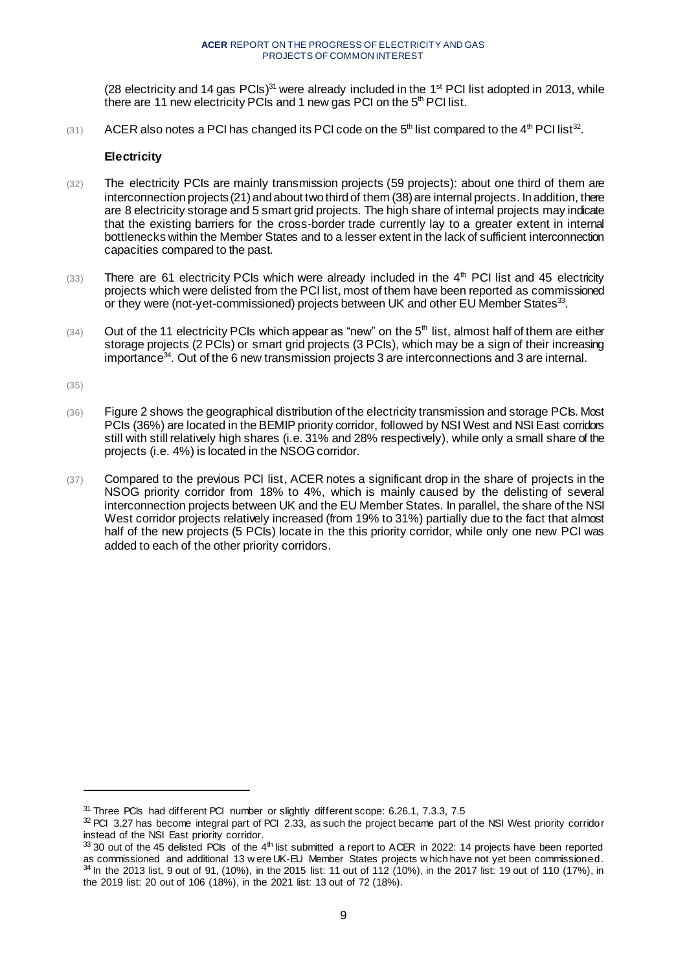(28 electricity and 14 gas  $PCIs$ )<sup>31</sup> were already included in the 1<sup>st</sup> PCI list adopted in 2013, while there are 11 new electricity PCIs and 1 new gas PCI on the  $5<sup>th</sup>$  PCI list.

(31) ACER also notes a PCI has changed its PCI code on the 5<sup>th</sup> list compared to the 4<sup>th</sup> PCI list<sup>32</sup>.

### **Electricity**

- (32) The electricity PCIs are mainly transmission projects (59 projects): about one third of them are interconnection projects (21) and about two third of them (38) are internal projects. In addition, there are 8 electricity storage and 5 smart grid projects. The high share of internal projects may indicate that the existing barriers for the cross-border trade currently lay to a greater extent in internal bottlenecks within the Member States and to a lesser extent in the lack of sufficient interconnection capacities compared to the past.
- $(33)$  There are 61 electricity PCIs which were already included in the  $4<sup>th</sup>$  PCI list and 45 electricity projects which were delisted from the PCI list, most of them have been reported as commissioned or they were (not-yet-commissioned) projects between UK and other EU Member States<sup>33</sup>.
- $(34)$  Out of the 11 electricity PCIs which appear as "new" on the 5<sup>th</sup> list, almost half of them are either storage projects (2 PCIs) or smart grid projects (3 PCIs), which may be a sign of their increasing importance<sup>34</sup>. Out of the 6 new transmission projects 3 are interconnections and 3 are internal.

(35[\)](#page-8-0)

- (36) [Figure 2](#page-8-0) shows the geographical distribution of the electricity transmission and storage PCIs. Most PCIs (36%) are located in the BEMIP priority corridor, followed by NSI West and NSI East corridors still with still relatively high shares (i.e. 31% and 28% respectively), while only a small share of the projects (i.e. 4%) is located in the NSOG corridor.
- <span id="page-8-0"></span>(37) Compared to the previous PCI list, ACER notes a significant drop in the share of projects in the NSOG priority corridor from 18% to 4%, which is mainly caused by the delisting of several interconnection projects between UK and the EU Member States. In parallel, the share of the NSI West corridor projects relatively increased (from 19% to 31%) partially due to the fact that almost half of the new projects (5 PCIs) locate in the this priority corridor, while only one new PCI was added to each of the other priority corridors.

<sup>&</sup>lt;sup>31</sup> Three PCIs had different PCI number or slightly different scope: 6.26.1, 7.3.3, 7.5

 $32$  PCI 3.27 has become integral part of PCI 2.33, as such the project became part of the NSI West priority corridor instead of the NSI East priority corridor.

<sup>33 30</sup> out of the 45 delisted PCIs of the 4<sup>th</sup> list submitted a report to ACER in 2022: 14 projects have been reported as commissioned and additional 13 w ere UK-EU Member States projects w hich have not yet been commissioned.  $34$  In the 2013 list, 9 out of 91, (10%), in the 2015 list: 11 out of 112 (10%), in the 2017 list: 19 out of 110 (17%), in the 2019 list: 20 out of 106 (18%), in the 2021 list: 13 out of 72 (18%).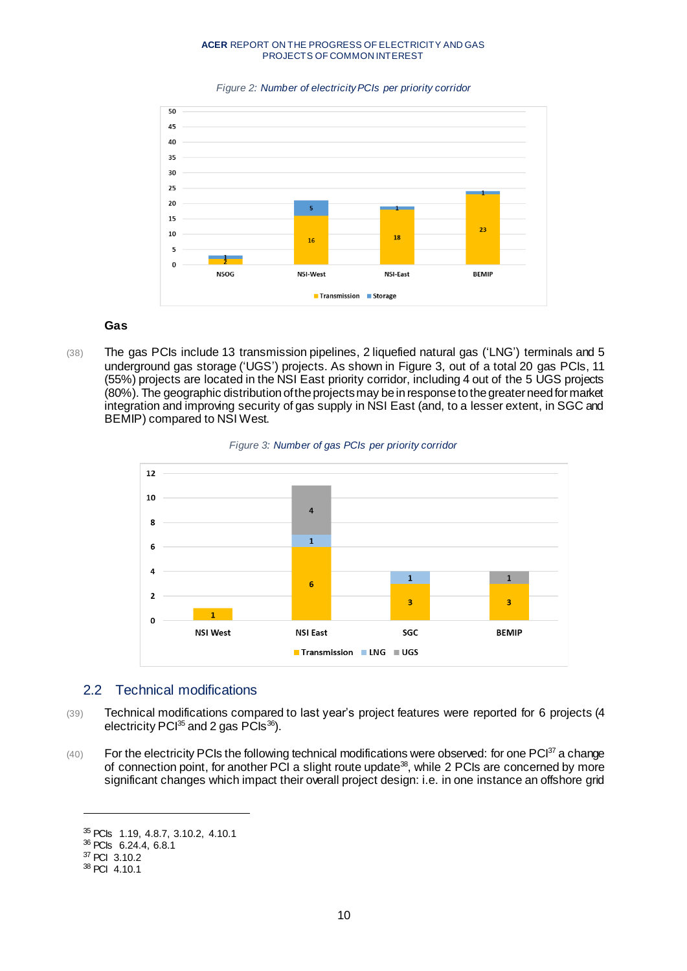



### **Gas**

(38) The gas PCIs include 13 transmission pipelines, 2 liquefied natural gas ('LNG') terminals and 5 underground gas storage ('UGS') projects. As shown in [Figure 3,](#page-9-1) out of a total 20 gas PCIs, 11 (55%) projects are located in the NSI East priority corridor, including 4 out of the 5 UGS projects (80%). The geographic distribution of the projects may be in response to the greater need for market integration and improving security of gas supply in NSI East (and, to a lesser extent, in SGC and BEMIP) compared to NSI West.



<span id="page-9-1"></span>

# <span id="page-9-0"></span>2.2 Technical modifications

- (39) Technical modifications compared to last year's project features were reported for 6 projects (4 electricity PCI $^{35}$  and 2 gas PCIs<sup>36</sup>).
- $(40)$  For the electricity PCIs the following technical modifications were observed: for one PCI $^{37}$  a change of connection point, for another PCI a slight route update<sup>38</sup>, while 2 PCIs are concerned by more significant changes which impact their overall project design: i.e. in one instance an offshore grid

<sup>35</sup> PCIs 1.19, 4.8.7, 3.10.2, 4.10.1

<sup>36</sup> PCIs 6.24.4, 6.8.1

<sup>37</sup> PCI 3.10.2

<sup>38</sup> PCI 4.10.1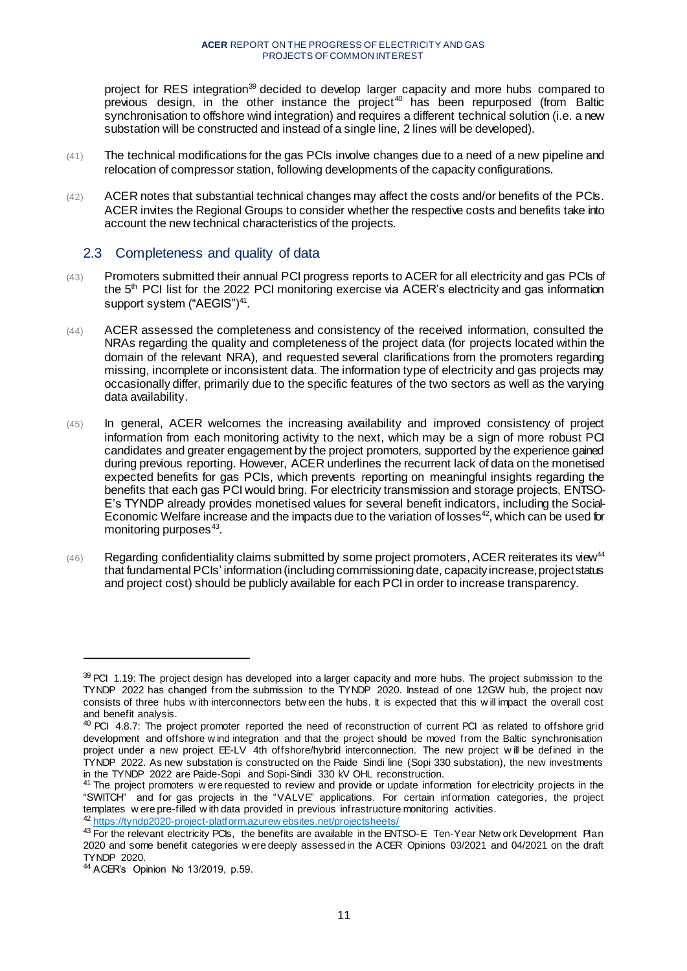project for RES integration<sup>39</sup> decided to develop larger capacity and more hubs compared to  $previous$  design, in the other instance the project<sup>40</sup> has been repurposed (from Baltic synchronisation to offshore wind integration) and requires a different technical solution (i.e. a new substation will be constructed and instead of a single line, 2 lines will be developed).

- (41) The technical modifications for the gas PCIs involve changes due to a need of a new pipeline and relocation of compressor station, following developments of the capacity configurations.
- (42) ACER notes that substantial technical changes may affect the costs and/or benefits of the PCIs. ACER invites the Regional Groups to consider whether the respective costs and benefits take into account the new technical characteristics of the projects.

# <span id="page-10-0"></span>2.3 Completeness and quality of data

- (43) Promoters submitted their annual PCI progress reports to ACER for all electricity and gas PCIs of the 5<sup>th</sup> PCI list for the 2022 PCI monitoring exercise via ACER's electricity and gas information support system ("AEGIS")<sup>41</sup>.
- (44) ACER assessed the completeness and consistency of the received information, consulted the NRAs regarding the quality and completeness of the project data (for projects located within the domain of the relevant NRA), and requested several clarifications from the promoters regarding missing, incomplete or inconsistent data. The information type of electricity and gas projects may occasionally differ, primarily due to the specific features of the two sectors as well as the varying data availability.
- (45) In general, ACER welcomes the increasing availability and improved consistency of project information from each monitoring activity to the next, which may be a sign of more robust PCI candidates and greater engagement by the project promoters, supported by the experience gained during previous reporting. However, ACER underlines the recurrent lack of data on the monetised expected benefits for gas PCIs, which prevents reporting on meaningful insights regarding the benefits that each gas PCI would bring. For electricity transmission and storage projects, ENTSO-E's TYNDP already provides monetised values for several benefit indicators, including the Social-Economic Welfare increase and the impacts due to the variation of losses<sup>42</sup>, which can be used for monitoring purposes $43$ .
- $(46)$  Regarding confidentiality claims submitted by some project promoters, ACER reiterates its view<sup>44</sup> that fundamental PCIs' information (including commissioning date, capacity increase, project status and project cost) should be publicly available for each PCI in order to increase transparency.

<sup>39</sup> PCI 1.19: The project design has developed into a larger capacity and more hubs. The project submission to the TYNDP 2022 has changed from the submission to the TYNDP 2020. Instead of one 12GW hub, the project now consists of three hubs w ith interconnectors betw een the hubs. It is expected that this w ill impact the overall cost and benefit analysis.

<sup>&</sup>lt;sup>40</sup> PCI 4.8.7: The project promoter reported the need of reconstruction of current PCI as related to offshore grid development and offshore w ind integration and that the project should be moved from the Baltic synchronisation project under a new project EE-LV 4th offshore/hybrid interconnection. The new project w ill be defined in the TYNDP 2022. As new substation is constructed on the Paide Sindi line (Sopi 330 substation), the new investments in the TYNDP 2022 are Paide-Sopi and Sopi-Sindi 330 kV OHL reconstruction.

<sup>&</sup>lt;sup>41</sup> The project promoters w ere requested to review and provide or update information for electricity projects in the "SWITCH" and for gas projects in the "VALVE" applications. For certain information categories, the project templates w ere pre-filled w ith data provided in previous infrastructure monitoring activities. 42 [https://tyndp2020-project-platform.azurew ebsites.net/projectsheets/](https://tyndp2020-project-platform.azurewebsites.net/projectsheets/)

<sup>43</sup> For the relevant electricity PCIs, the benefits are available in the ENTSO-E Ten-Year Netw ork Development Plan 2020 and some benefit categories w ere deeply assessed in the ACER Opinions 03/2021 and 04/2021 on the draft TYNDP 2020.

<sup>44</sup> ACER's Opinion No 13/2019, p.59.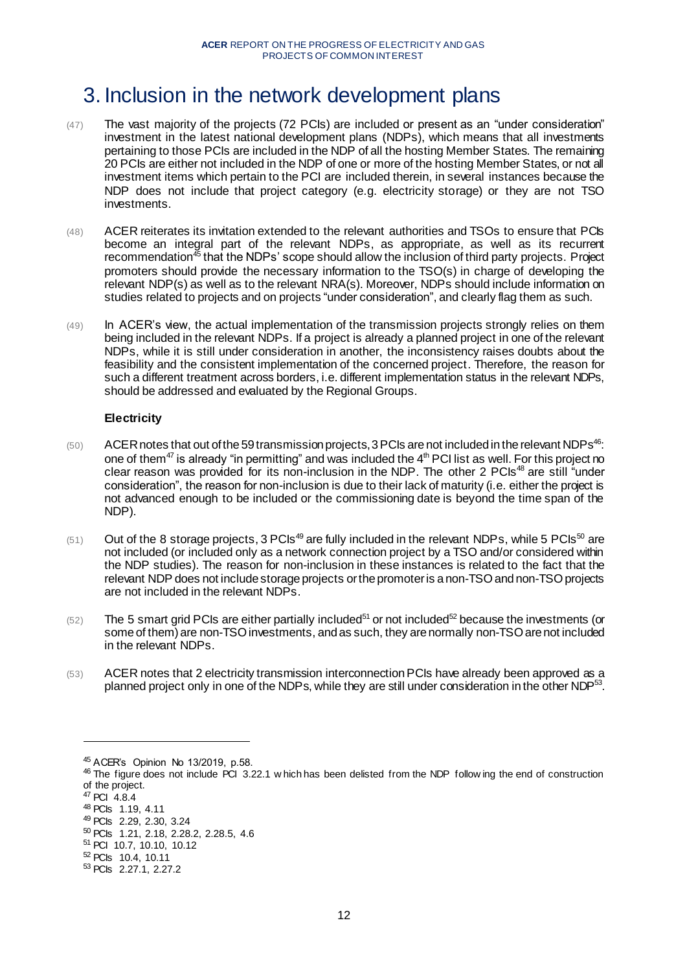# <span id="page-11-0"></span>3. Inclusion in the network development plans

- (47) The vast majority of the projects (72 PCIs) are included or present as an "under consideration" investment in the latest national development plans (NDPs), which means that all investments pertaining to those PCIs are included in the NDP of all the hosting Member States. The remaining 20 PCIs are either not included in the NDP of one or more of the hosting Member States, or not all investment items which pertain to the PCI are included therein, in several instances because the NDP does not include that project category (e.g. electricity storage) or they are not TSO investments.
- (48) ACER reiterates its invitation extended to the relevant authorities and TSOs to ensure that PCIs become an integral part of the relevant NDPs, as appropriate, as well as its recurrent recommendation<sup>45</sup> that the NDPs' scope should allow the inclusion of third party projects. Project promoters should provide the necessary information to the TSO(s) in charge of developing the relevant NDP(s) as well as to the relevant NRA(s). Moreover, NDPs should include information on studies related to projects and on projects "under consideration", and clearly flag them as such.
- (49) In ACER's view, the actual implementation of the transmission projects strongly relies on them being included in the relevant NDPs. If a project is already a planned project in one of the relevant NDPs, while it is still under consideration in another, the inconsistency raises doubts about the feasibility and the consistent implementation of the concerned project. Therefore, the reason for such a different treatment across borders, i.e. different implementation status in the relevant NDPs, should be addressed and evaluated by the Regional Groups.

# **Electricity**

- $(50)$  ACER notes that out of the 59 transmission projects, 3 PCIs are not included in the relevant NDPs<sup>46</sup>: one of them<sup>47</sup> is already "in permitting" and was included the  $4<sup>th</sup>$  PCI list as well. For this project no clear reason was provided for its non-inclusion in the NDP. The other 2 PCIs<sup>48</sup> are still "under consideration", the reason for non-inclusion is due to their lack of maturity (i.e. either the project is not advanced enough to be included or the commissioning date is beyond the time span of the NDP).
- $(51)$  Out of the 8 storage projects, 3 PCIs<sup>49</sup> are fully included in the relevant NDPs, while 5 PCIs<sup>50</sup> are not included (or included only as a network connection project by a TSO and/or considered within the NDP studies). The reason for non-inclusion in these instances is related to the fact that the relevant NDP does not include storage projects or the promoter is a non-TSO and non-TSO projects are not included in the relevant NDPs.
- $(52)$  The 5 smart grid PCIs are either partially included<sup>51</sup> or not included<sup>52</sup> because the investments (or some of them) are non-TSO investments, and as such, they are normally non-TSO are not included in the relevant NDPs.
- (53) ACER notes that 2 electricity transmission interconnectionPCIs have already been approved as a planned project only in one of the NDPs, while they are still under consideration in the other NDP<sup>53</sup>.

<sup>45</sup> ACER's Opinion No 13/2019, p.58.

<sup>&</sup>lt;sup>46</sup> The figure does not include PCI 3.22.1 w hich has been delisted from the NDP follow ing the end of construction of the project.

<sup>47</sup> PCI 4.8.4

<sup>48</sup> PCIs 1.19, 4.11

<sup>49</sup> PCIs 2.29, 2.30, 3.24

<sup>50</sup> PCIs 1.21, 2.18, 2.28.2, 2.28.5, 4.6

<sup>51</sup> PCI 10.7, 10.10, 10.12

<sup>52</sup> PCIs 10.4, 10.11

<sup>53</sup> PCIs 2.27.1, 2.27.2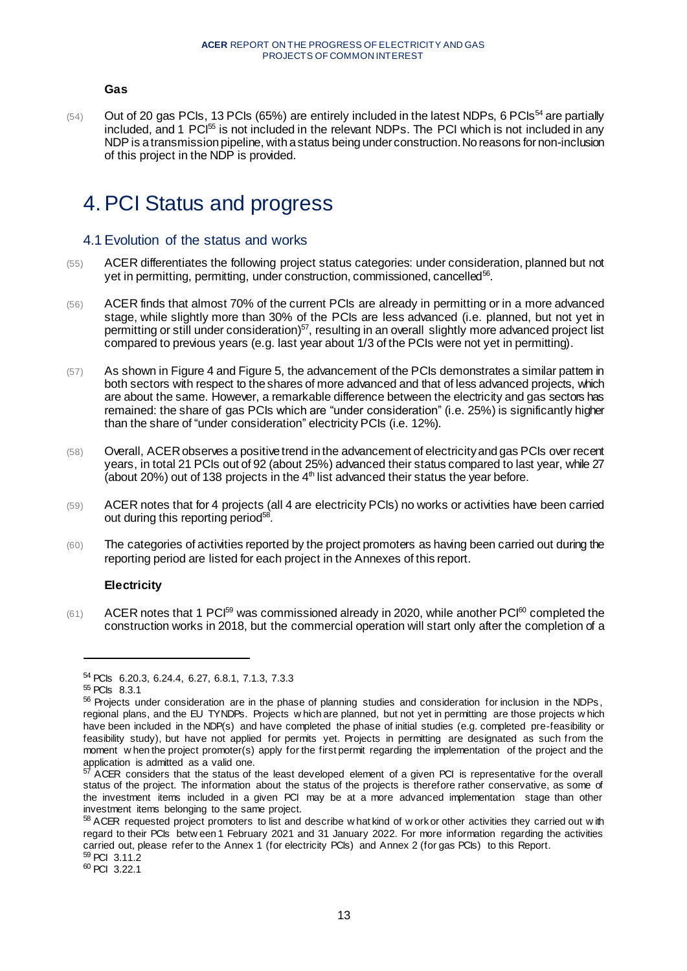#### **Gas**

 $(54)$  Out of 20 gas PCIs, 13 PCIs (65%) are entirely included in the latest NDPs, 6 PCIs<sup>54</sup> are partially included, and 1 PCI<sup>55</sup> is not included in the relevant NDPs. The PCI which is not included in any NDP is a transmission pipeline, with a status being under construction. No reasons for non-inclusion of this project in the NDP is provided.

# <span id="page-12-0"></span>4.PCI Status and progress

# <span id="page-12-1"></span>4.1 Evolution of the status and works

- (55) ACER differentiates the following project status categories: under consideration, planned but not yet in permitting, permitting, under construction, commissioned, cancelled<sup>56</sup>.
- (56) ACER finds that almost 70% of the current PCIs are already in permitting or in a more advanced stage, while slightly more than 30% of the PCIs are less advanced (i.e. planned, but not yet in permitting or still under consideration)<sup>57</sup>, resulting in an overall slightly more advanced project list compared to previous years (e.g. last year about 1/3 of the PCIs were not yet in permitting).
- (57) As shown i[n Figure 4](#page-13-0) an[d Figure 5,](#page-14-1) the advancement of the PCIs demonstrates a similar pattem in both sectors with respect to the shares of more advanced and that of less advanced projects, which are about the same. However, a remarkable difference between the electricity and gas sectors has remained: the share of gas PCIs which are "under consideration" (i.e. 25%) is significantly higher than the share of "under consideration" electricity PCIs (i.e. 12%).
- (58) Overall, ACER observes a positive trend in the advancement of electricity and gas PCIs over recent years, in total 21 PCIs out of 92 (about 25%) advanced their status compared to last year, while 27 (about 20%) out of 138 projects in the  $4<sup>th</sup>$  list advanced their status the year before.
- (59) ACER notes that for 4 projects (all 4 are electricity PCIs) no works or activities have been carried out during this reporting period<sup>58</sup>.
- (60) The categories of activities reported by the project promoters as having been carried out during the reporting period are listed for each project in the Annexes of this report.

#### **Electricity**

 $(61)$  ACER notes that 1 PCI<sup>59</sup> was commissioned already in 2020, while another PCI<sup>60</sup> completed the construction works in 2018, but the commercial operation will start only after the completion of a

<sup>54</sup> PCIs 6.20.3, 6.24.4, 6.27, 6.8.1, 7.1.3, 7.3.3

<sup>55</sup> PCIs 8.3.1

<sup>56</sup> Projects under consideration are in the phase of planning studies and consideration for inclusion in the NDPs, regional plans, and the EU TYNDPs. Projects w hich are planned, but not yet in permitting are those projects w hich have been included in the NDP(s) and have completed the phase of initial studies (e.g. completed pre-feasibility or feasibility study), but have not applied for permits yet. Projects in permitting are designated as such from the moment w hen the project promoter(s) apply for the first permit regarding the implementation of the project and the application is admitted as a valid one.

 $57$  ACER considers that the status of the least developed element of a given PCI is representative for the overall status of the project. The information about the status of the projects is therefore rather conservative, as some of the investment items included in a given PCI may be at a more advanced implementation stage than other investment items belonging to the same project.

<sup>58</sup> ACER requested project promoters to list and describe w hat kind of w ork or other activities they carried out with regard to their PCIs betw een 1 February 2021 and 31 January 2022. For more information regarding the activities carried out, please refer to the Annex 1 (for electricity PCIs) and Annex 2 (for gas PCIs) to this Report. <sup>59</sup> PCI 3.11.2

<sup>60</sup> PCI 3.22.1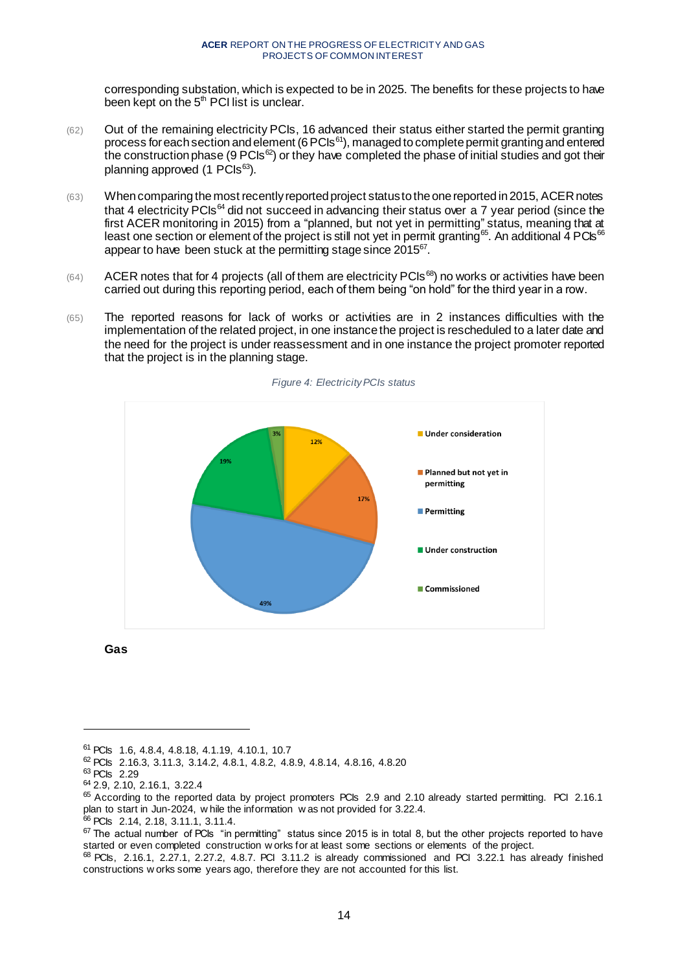corresponding substation, which is expected to be in 2025. The benefits for these projects to have been kept on the 5<sup>th</sup> PCI list is unclear.

- (62) Out of the remaining electricity PCIs, 16 advanced their status either started the permit granting process for each section and element (6 PCIs<sup>61</sup>), managed to complete permit granting and entered the construction phase (9 PCIs ${}^{62}$ ) or they have completed the phase of initial studies and got their planning approved  $(1 \text{ PCls}^{63})$ .
- (63) When comparing the most recently reported project status to the one reported in 2015, ACER notes that 4 electricity PCIs<sup>64</sup> did not succeed in advancing their status over a 7 year period (since the first ACER monitoring in 2015) from a "planned, but not yet in permitting" status, meaning that at least one section or element of the project is still not yet in permit granting<sup>65</sup>. An additional 4 PCIs<sup>66</sup> appear to have been stuck at the permitting stage since 2015 $^{67}$ .
- $(64)$  ACER notes that for 4 projects (all of them are electricity PCIs<sup>68</sup>) no works or activities have been carried out during this reporting period, each of them being "on hold" for the third year in a row.
- (65) The reported reasons for lack of works or activities are in 2 instances difficulties with the implementation of the related project, in one instance the project is rescheduled to a later date and the need for the project is under reassessment and in one instance the project promoter reported that the project is in the planning stage.

<span id="page-13-0"></span>

*Figure 4: Electricity PCIs status*

**Gas**

l

<sup>66</sup> PCIs 2.14, 2.18, 3.11.1, 3.11.4.

<sup>61</sup> PCIs 1.6, 4.8.4, 4.8.18, 4.1.19, 4.10.1, 10.7

<sup>62</sup> PCIs 2.16.3, 3.11.3, 3.14.2, 4.8.1, 4.8.2, 4.8.9, 4.8.14, 4.8.16, 4.8.20

<sup>63</sup> PCIs 2.29

<sup>64</sup> 2.9, 2.10, 2.16.1, 3.22.4

 $65$  According to the reported data by project promoters PCIs 2.9 and 2.10 already started permitting. PCI 2.16.1 plan to start in Jun-2024, w hile the information w as not provided for 3.22.4.

<sup>&</sup>lt;sup>67</sup> The actual number of PCIs "in permitting" status since 2015 is in total 8, but the other projects reported to have started or even completed construction w orks for at least some sections or elements of the project.

 $68$  PCIs, 2.16.1, 2.27.1, 2.27.2, 4.8.7. PCI 3.11.2 is already commissioned and PCI 3.22.1 has already finished constructions w orks some years ago, therefore they are not accounted for this list.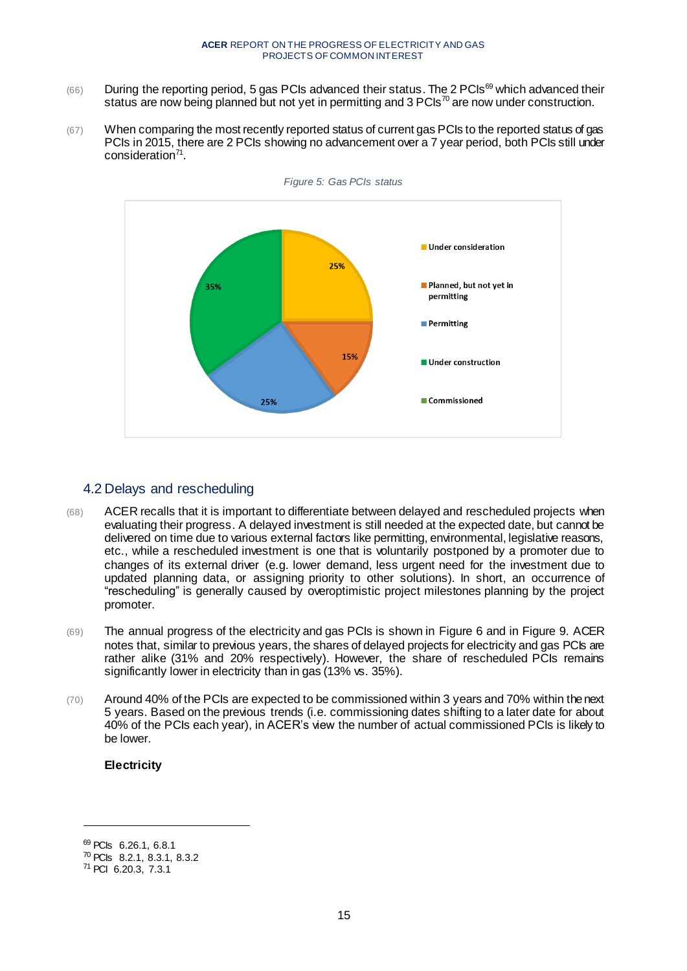- $(66)$  During the reporting period, 5 gas PCIs advanced their status. The 2 PCIs<sup>69</sup> which advanced their status are now being planned but not yet in permitting and 3 PCIs<sup>70</sup> are now under construction.
- (67) When comparing the most recently reported status of current gas PCIs to the reported status of gas PCIs in 2015, there are 2 PCIs showing no advancement over a 7 year period, both PCIs still under consideration<sup>71</sup>.

<span id="page-14-1"></span>

# <span id="page-14-0"></span>4.2 Delays and rescheduling

- (68) ACER recalls that it is important to differentiate between delayed and rescheduled projects when evaluating their progress. A delayed investment is still needed at the expected date, but cannot be delivered on time due to various external factors like permitting, environmental, legislative reasons, etc., while a rescheduled investment is one that is voluntarily postponed by a promoter due to changes of its external driver (e.g. lower demand, less urgent need for the investment due to updated planning data, or assigning priority to other solutions). In short, an occurrence of "rescheduling" is generally caused by overoptimistic project milestones planning by the project promoter.
- (69) The annual progress of the electricity and gas PCIs is shown in [Figure 6](#page-15-0) and in [Figure 9.](#page-17-0) ACER notes that, similar to previous years, the shares of delayed projects for electricity and gas PCIs are rather alike (31% and 20% respectively). However, the share of rescheduled PCIs remains significantly lower in electricity than in gas (13% vs. 35%).
- (70) Around 40% of the PCIs are expected to be commissioned within 3 years and 70% within the next 5 years. Based on the previous trends (i.e. commissioning dates shifting to a later date for about 40% of the PCIs each year), in ACER's view the number of actual commissioned PCIs is likely to be lower.

### **Electricity**

<sup>69</sup> PCIs 6.26.1, 6.8.1

<sup>70</sup> PCIs 8.2.1, 8.3.1, 8.3.2

<sup>71</sup> PCI 6.20.3, 7.3.1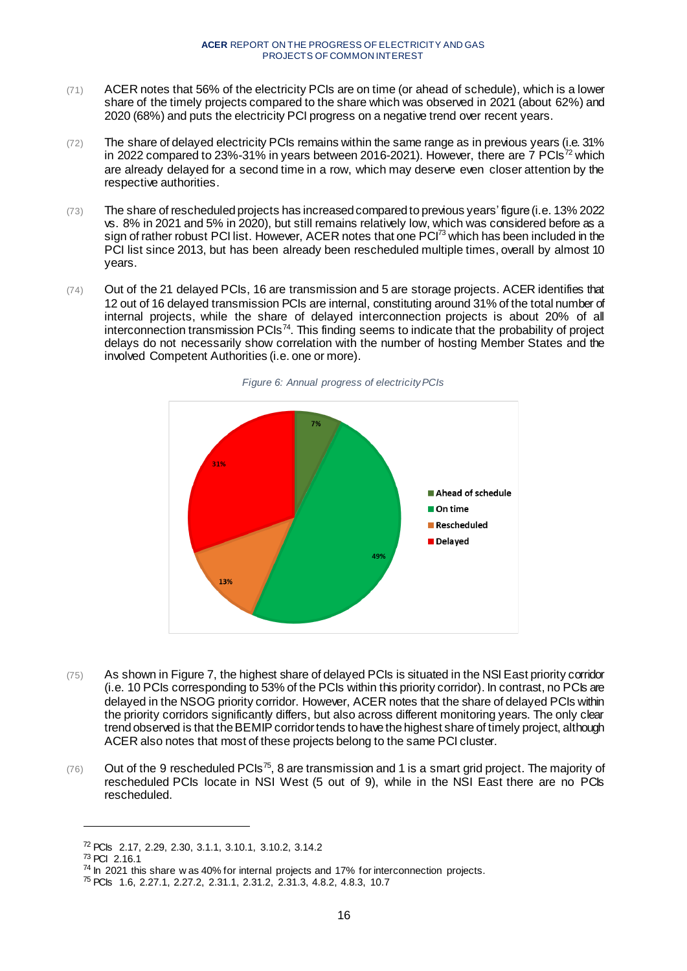- (71) ACER notes that 56% of the electricity PCIs are on time (or ahead of schedule), which is a lower share of the timely projects compared to the share which was observed in 2021 (about 62%) and 2020 (68%) and puts the electricity PCI progress on a negative trend over recent years.
- (72) The share of delayed electricity PCIs remains within the same range as in previous years (i.e. 31% in 2022 compared to 23%-31% in years between 2016-2021). However, there are  $7$  PCIs<sup>72</sup> which are already delayed for a second time in a row, which may deserve even closer attention by the respective authorities.
- (73) The share of rescheduled projects has increased compared to previous years' figure (i.e. 13% 2022 vs. 8% in 2021 and 5% in 2020), but still remains relatively low, which was considered before as a sign of rather robust PCI list. However, ACER notes that one PCI<sup>73</sup> which has been included in the PCI list since 2013, but has been already been rescheduled multiple times, overall by almost 10 years.
- (74) Out of the 21 delayed PCIs, 16 are transmission and 5 are storage projects. ACER identifies that 12 out of 16 delayed transmission PCIs are internal, constituting around 31% of the total number of internal projects, while the share of delayed interconnection projects is about 20% of all interconnection transmission PCIs<sup>74</sup>. This finding seems to indicate that the probability of project delays do not necessarily show correlation with the number of hosting Member States and the involved Competent Authorities (i.e. one or more).

<span id="page-15-0"></span>

*Figure 6: Annual progress of electricity PCIs*

- (75) As shown i[n Figure 7](#page-16-0), the highest share of delayed PCIs is situated in the NSI East priority corridor (i.e. 10 PCIs corresponding to 53% of the PCIs within this priority corridor). In contrast, no PCIs are delayed in the NSOG priority corridor. However, ACER notes that the share of delayed PCIs within the priority corridors significantly differs, but also across different monitoring years. The only clear trend observed is that the BEMIP corridor tends to have the highest share of timely project, although ACER also notes that most of these projects belong to the same PCI cluster.
- $(76)$  Out of the 9 rescheduled PCIs<sup>75</sup>, 8 are transmission and 1 is a smart grid project. The majority of rescheduled PCIs locate in NSI West (5 out of 9), while in the NSI East there are no PCIs rescheduled.

<sup>72</sup> PCIs 2.17, 2.29, 2.30, 3.1.1, 3.10.1, 3.10.2, 3.14.2

<sup>73</sup> PCI 2.16.1

<sup>&</sup>lt;sup>74</sup> In 2021 this share w as 40% for internal projects and 17% for interconnection projects.

<sup>75</sup> PCIs 1.6, 2.27.1, 2.27.2, 2.31.1, 2.31.2, 2.31.3, 4.8.2, 4.8.3, 10.7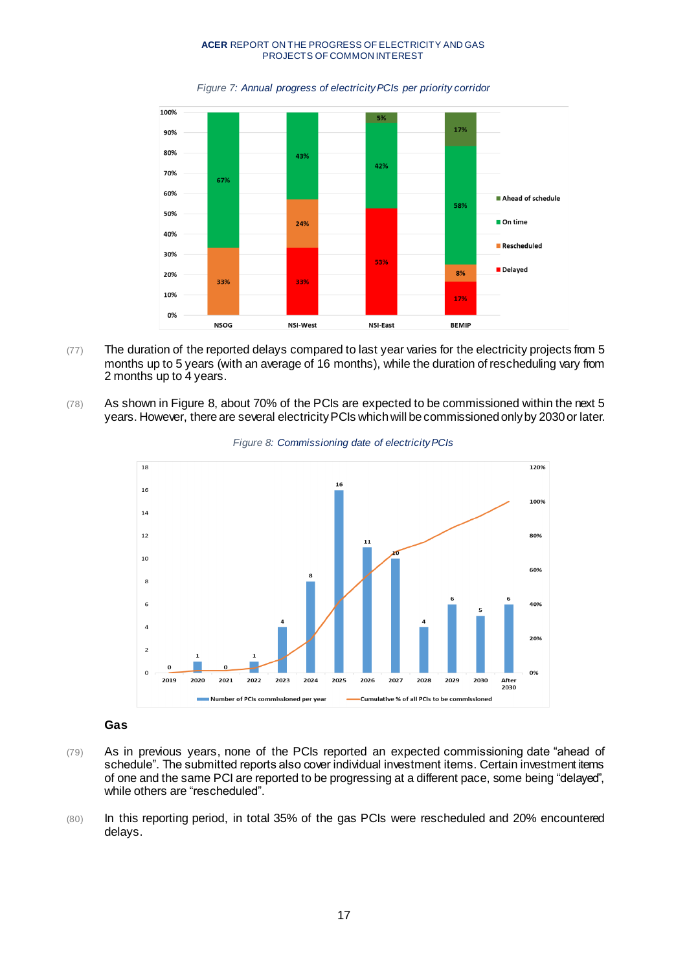*Figure 7: Annual progress of electricity PCIs per priority corridor*

<span id="page-16-0"></span>![](_page_16_Figure_2.jpeg)

- (77) The duration of the reported delays compared to last year varies for the electricity projects from 5 months up to 5 years (with an average of 16 months), while the duration of rescheduling vary from 2 months up to 4 years.
- <span id="page-16-1"></span>(78) As shown in [Figure 8,](#page-16-1) about 70% of the PCIs are expected to be commissioned within the next 5 years. However, there are several electricity PCIs which will be commissioned only by 2030 or later.

![](_page_16_Figure_5.jpeg)

![](_page_16_Figure_6.jpeg)

# **Gas**

- (79) As in previous years, none of the PCIs reported an expected commissioning date "ahead of schedule". The submitted reports also cover individual investment items. Certain investment items of one and the same PCI are reported to be progressing at a different pace, some being "delayed", while others are "rescheduled".
- (80) In this reporting period, in total 35% of the gas PCIs were rescheduled and 20% encountered delays.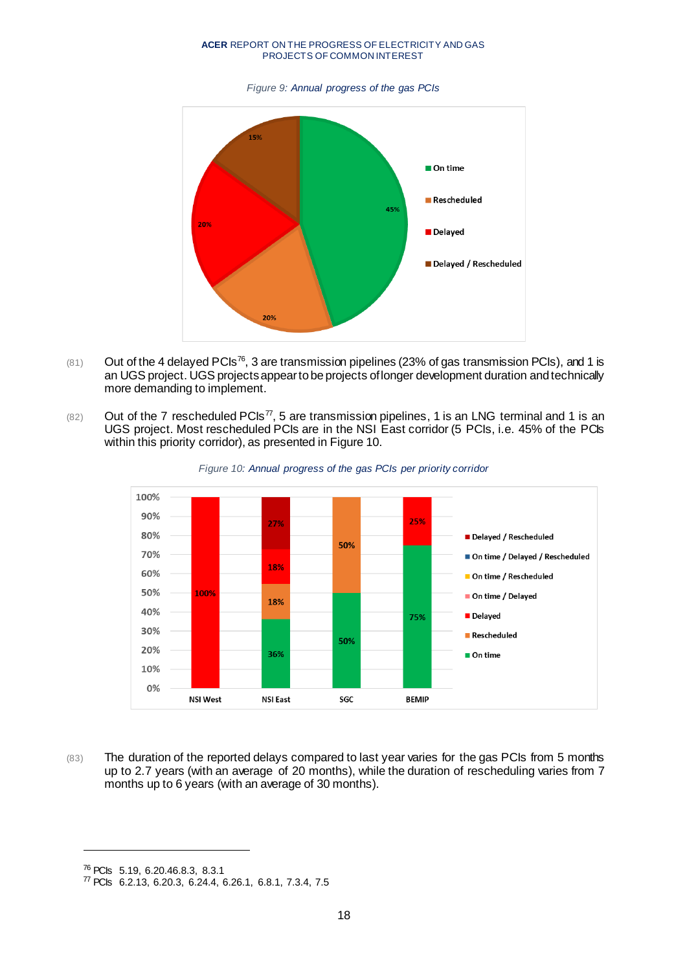*Figure 9: Annual progress of the gas PCIs*

<span id="page-17-0"></span>![](_page_17_Figure_2.jpeg)

- $(81)$  Out of the 4 delayed PCIs<sup>76</sup>, 3 are transmission pipelines (23% of gas transmission PCIs), and 1 is an UGS project. UGS projects appearto be projects of longer development duration andtechnically more demanding to implement.
- $(82)$  Out of the 7 rescheduled PCIs<sup>77</sup>, 5 are transmission pipelines, 1 is an LNG terminal and 1 is an UGS project. Most rescheduled PCIs are in the NSI East corridor (5 PCIs, i.e. 45% of the PCIs within this priority corridor), as presented i[n Figure 10](#page-17-1).

<span id="page-17-1"></span>![](_page_17_Figure_5.jpeg)

![](_page_17_Figure_6.jpeg)

(83) The duration of the reported delays compared to last year varies for the gas PCIs from 5 months up to 2.7 years (with an average of 20 months), while the duration of rescheduling varies from 7 months up to 6 years (with an average of 30 months).

<sup>76</sup> PCIs 5.19, 6.20.46.8.3, 8.3.1

<sup>77</sup> PCIs 6.2.13, 6.20.3, 6.24.4, 6.26.1, 6.8.1, 7.3.4, 7.5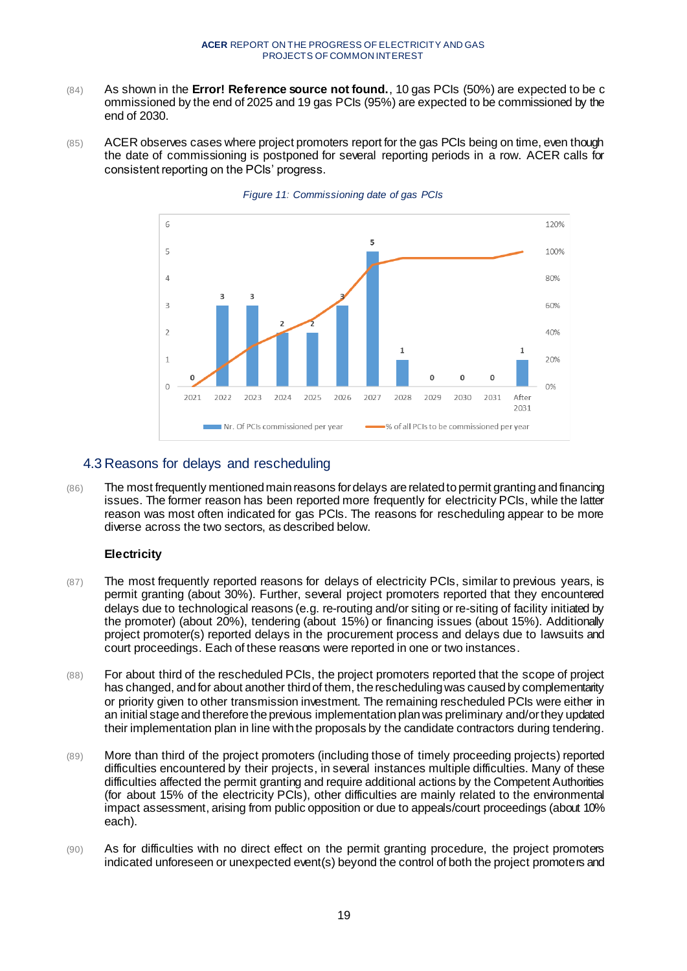- (84) As shown in the **Error! Reference source not found.**, 10 gas PCIs (50%) are expected to be c ommissioned by the end of 2025 and 19 gas PCIs (95%) are expected to be commissioned by the end of 2030.
- (85) ACER observes cases where project promoters report for the gas PCIs being on time, even though the date of commissioning is postponed for several reporting periods in a row. ACER calls for consistent reporting on the PCIs' progress.

![](_page_18_Figure_3.jpeg)

#### *Figure 11: Commissioning date of gas PCIs*

# <span id="page-18-0"></span>4.3 Reasons for delays and rescheduling

(86) The most frequently mentioned main reasons for delays are related to permit granting and financing issues. The former reason has been reported more frequently for electricity PCIs, while the latter reason was most often indicated for gas PCIs. The reasons for rescheduling appear to be more diverse across the two sectors, as described below.

#### **Electricity**

- (87) The most frequently reported reasons for delays of electricity PCIs, similar to previous years, is permit granting (about 30%). Further, several project promoters reported that they encountered delays due to technological reasons (e.g. re-routing and/or siting or re-siting of facility initiated by the promoter) (about 20%), tendering (about 15%) or financing issues (about 15%). Additionally project promoter(s) reported delays in the procurement process and delays due to lawsuits and court proceedings. Each of these reasons were reported in one or two instances.
- (88) For about third of the rescheduled PCIs, the project promoters reported that the scope of project has changed, and for about another third of them, the rescheduling was caused by complementarity or priority given to other transmission investment. The remaining rescheduled PCIs were either in an initial stage and therefore the previous implementation plan was preliminary and/orthey updated their implementation plan in line with the proposals by the candidate contractors during tendering.
- (89) More than third of the project promoters (including those of timely proceeding projects) reported difficulties encountered by their projects, in several instances multiple difficulties. Many of these difficulties affected the permit granting and require additional actions by the Competent Authorities (for about 15% of the electricity PCIs), other difficulties are mainly related to the environmental impact assessment, arising from public opposition or due to appeals/court proceedings (about 10% each).
- (90) As for difficulties with no direct effect on the permit granting procedure, the project promoters indicated unforeseen or unexpected event(s) beyond the control of both the project promoters and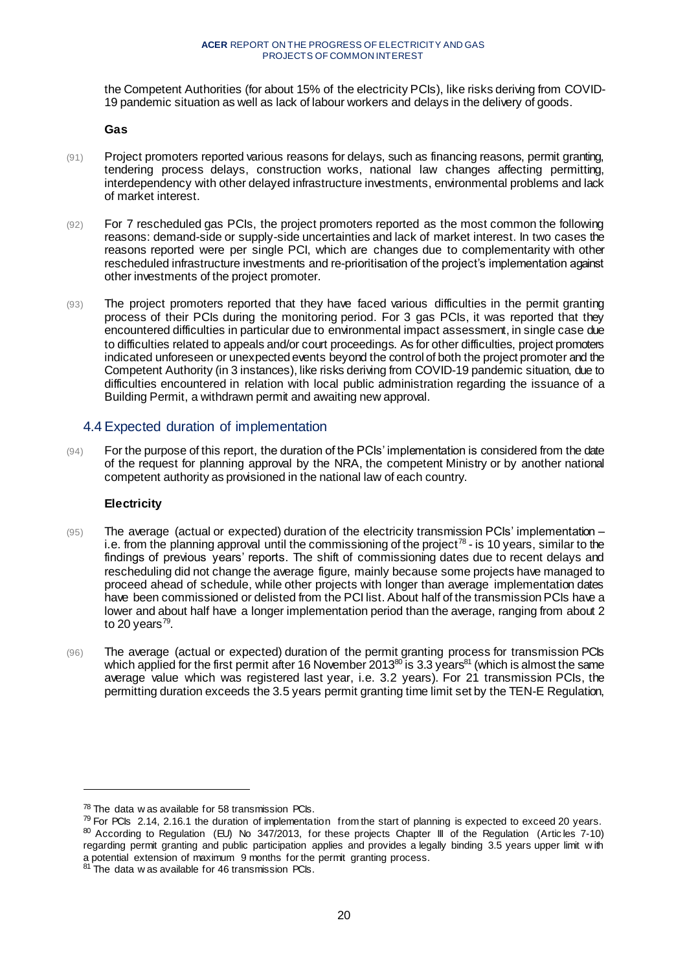the Competent Authorities (for about 15% of the electricity PCIs), like risks deriving from COVID-19 pandemic situation as well as lack of labour workers and delays in the delivery of goods.

**Gas**

- (91) Project promoters reported various reasons for delays, such as financing reasons, permit granting, tendering process delays, construction works, national law changes affecting permitting, interdependency with other delayed infrastructure investments, environmental problems and lack of market interest.
- (92) For 7 rescheduled gas PCIs, the project promoters reported as the most common the following reasons: demand-side or supply-side uncertainties and lack of market interest. In two cases the reasons reported were per single PCI, which are changes due to complementarity with other rescheduled infrastructure investments and re-prioritisation of the project's implementation against other investments of the project promoter.
- (93) The project promoters reported that they have faced various difficulties in the permit granting process of their PCIs during the monitoring period. For 3 gas PCIs, it was reported that they encountered difficulties in particular due to environmental impact assessment, in single case due to difficulties related to appeals and/or court proceedings. As for other difficulties, project promoters indicated unforeseen or unexpected events beyond the control of both the project promoter and the Competent Authority (in 3 instances), like risks deriving from COVID-19 pandemic situation, due to difficulties encountered in relation with local public administration regarding the issuance of a Building Permit, a withdrawn permit and awaiting new approval.

# <span id="page-19-0"></span>4.4 Expected duration of implementation

(94) For the purpose of this report, the duration of the PCIs' implementation is considered from the date of the request for planning approval by the NRA, the competent Ministry or by another national competent authority as provisioned in the national law of each country.

# **Electricity**

- (95) The average (actual or expected) duration of the electricity transmission PCIs' implementation i.e. from the planning approval until the commissioning of the project<sup>78</sup> - is 10 years, similar to the findings of previous years' reports. The shift of commissioning dates due to recent delays and rescheduling did not change the average figure, mainly because some projects have managed to proceed ahead of schedule, while other projects with longer than average implementation dates have been commissioned or delisted from the PCI list. About half of the transmission PCIs have a lower and about half have a longer implementation period than the average, ranging from about 2 to 20 years<sup>79</sup>.
- (96) The average (actual or expected) duration of the permit granting process for transmission PCIs which applied for the first permit after 16 November 2013<sup>80</sup> is 3.3 years<sup>81</sup> (which is almost the same average value which was registered last year, i.e. 3.2 years). For 21 transmission PCIs, the permitting duration exceeds the 3.5 years permit granting time limit set by the TEN-E Regulation,

 $78$  The data w as available for 58 transmission PCIs.

 $79$  For PCIs 2.14, 2.16.1 the duration of implementation from the start of planning is expected to exceed 20 years. 80 According to Regulation (EU) No 347/2013, for these projects Chapter III of the Regulation (Articles 7-10) regarding permit granting and public participation applies and provides a legally binding 3.5 years upper limit w ith a potential extension of maximum 9 months for the permit granting process.

 $81$ <sup>81</sup> The data w as available for 46 transmission PCIs.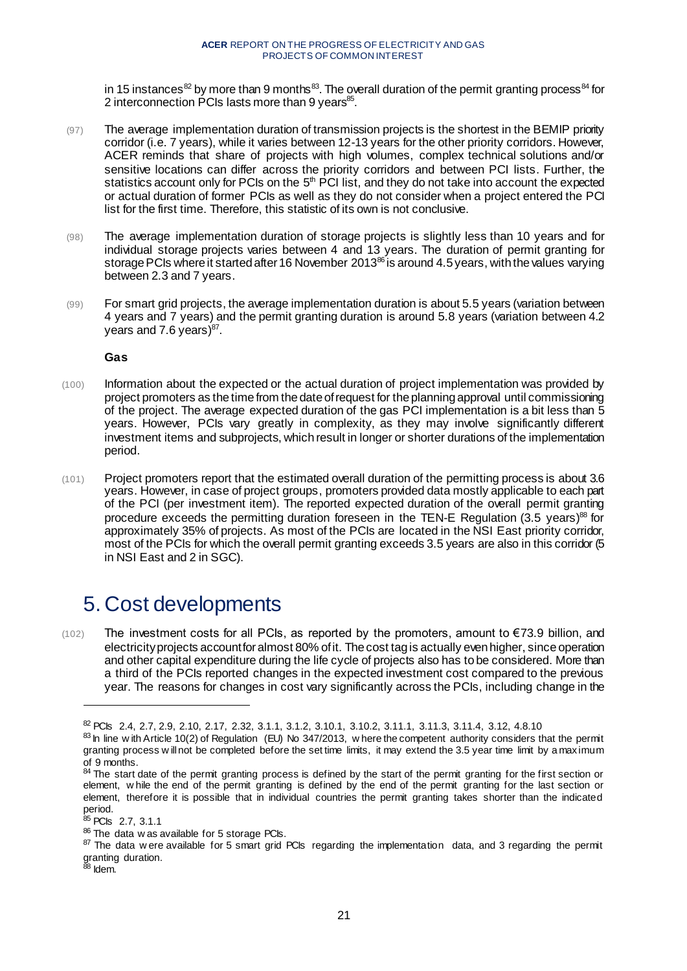in 15 instances<sup>82</sup> by more than 9 months<sup>83</sup>. The overall duration of the permit granting process<sup>84</sup> for 2 interconnection PCIs lasts more than 9 years<sup>85</sup>.

- (97) The average implementation duration of transmission projects is the shortest in the BEMIP priority corridor (i.e. 7 years), while it varies between 12-13 years for the other priority corridors. However, ACER reminds that share of projects with high volumes, complex technical solutions and/or sensitive locations can differ across the priority corridors and between PCI lists. Further, the statistics account only for PCIs on the 5<sup>th</sup> PCI list, and they do not take into account the expected or actual duration of former PCIs as well as they do not consider when a project entered the PCI list for the first time. Therefore, this statistic of its own is not conclusive.
- (98) The average implementation duration of storage projects is slightly less than 10 years and for individual storage projects varies between 4 and 13 years. The duration of permit granting for storage PCIs where it started after 16 November 2013<sup>86</sup> is around 4.5 years, with the values varying between 2.3 and 7 years.
- (99) For smart grid projects, the average implementation duration is about 5.5 years (variation between 4 years and 7 years) and the permit granting duration is around 5.8 years (variation between 4.2 years and 7.6 years)<sup>87</sup>.

**Gas**

- (100) Information about the expected or the actual duration of project implementation was provided by project promoters as the time from the date of request for the planning approval until commissioning of the project. The average expected duration of the gas PCI implementation is a bit less than 5 years. However, PCIs vary greatly in complexity, as they may involve significantly different investment items and subprojects, which result in longer or shorter durations of the implementation period.
- (101) Project promoters report that the estimated overall duration of the permitting process is about 3.6 years. However, in case of project groups, promoters provided data mostly applicable to each part of the PCI (per investment item). The reported expected duration of the overall permit granting procedure exceeds the permitting duration foreseen in the TEN-E Regulation (3.5 years)<sup>88</sup> for approximately 35% of projects. As most of the PCIs are located in the NSI East priority corridor, most of the PCIs for which the overall permit granting exceeds 3.5 years are also in this corridor (5 in NSI East and 2 in SGC).

# <span id="page-20-0"></span>5. Cost developments

(102) The investment costs for all PCIs, as reported by the promoters, amount to €73.9 billion, and electricity projects account for almost 80% of it. The cost tag is actually even higher, since operation and other capital expenditure during the life cycle of projects also has to be considered. More than a third of the PCIs reported changes in the expected investment cost compared to the previous year. The reasons for changes in cost vary significantly across the PCIs, including change in the

 $^{\bar{3}8}$  Idem.

<sup>82</sup> PCIs 2.4, 2.7, 2.9, 2.10, 2.17, 2.32, 3.1.1, 3.1.2, 3.10.1, 3.10.2, 3.11.1, 3.11.3, 3.11.4, 3.12, 4.8.10

 $83$  In line w ith Article 10(2) of Regulation (EU) No 347/2013, w here the competent authority considers that the permit granting process w ill not be completed before the set time limits, it may extend the 3.5 year time limit by a maximum of 9 months.

<sup>&</sup>lt;sup>84</sup> The start date of the permit granting process is defined by the start of the permit granting for the first section or element, w hile the end of the permit granting is defined by the end of the permit granting for the last section or element, therefore it is possible that in individual countries the permit granting takes shorter than the indicated period.

<sup>&</sup>lt;sup>85</sup> PCIs 2.7, 3.1.1

<sup>86</sup> The data w as available for 5 storage PCIs.

<sup>&</sup>lt;sup>87</sup> The data w ere available for 5 smart grid PCIs regarding the implementation data, and 3 regarding the permit granting duration.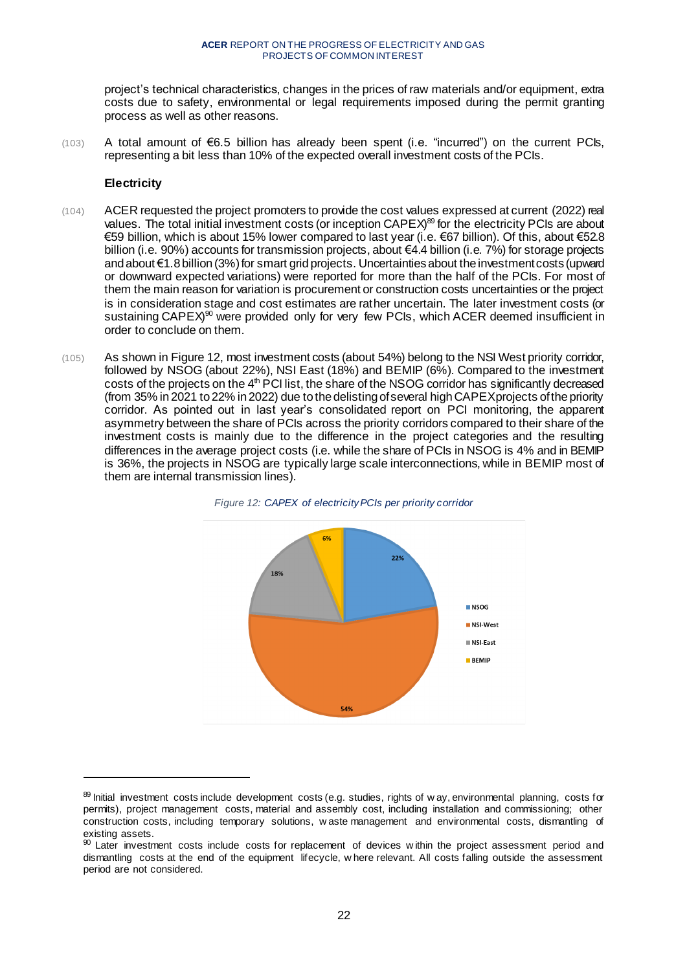project's technical characteristics, changes in the prices of raw materials and/or equipment, extra costs due to safety, environmental or legal requirements imposed during the permit granting process as well as other reasons.

 $(103)$  A total amount of  $\epsilon$ 6.5 billion has already been spent (i.e. "incurred") on the current PCIs, representing a bit less than 10% of the expected overall investment costs of the PCIs.

### **Electricity**

- (104) ACER requested the project promoters to provide the cost values expressed at current (2022) real values. The total initial investment costs (or inception CAPEX)<sup>89</sup> for the electricity PCIs are about €59 billion, which is about 15% lower compared to last year (i.e. €67 billion). Of this, about €52.8 billion (i.e. 90%) accounts for transmission projects, about €4.4 billion (i.e. 7%) for storage projects and about €1.8 billion (3%) for smart grid projects. Uncertainties about the investment costs (upward or downward expected variations) were reported for more than the half of the PCIs. For most of them the main reason for variation is procurement or construction costs uncertainties or the project is in consideration stage and cost estimates are rather uncertain. The later investment costs (or sustaining CAPEX)<sup>90</sup> were provided only for very few PCIs, which ACER deemed insufficient in order to conclude on them.
- (105) As shown in [Figure 12](#page-21-0), most investment costs (about 54%) belong to the NSI West priority corridor, followed by NSOG (about 22%), NSI East (18%) and BEMIP (6%). Compared to the investment costs of the projects on the 4<sup>th</sup> PCI list, the share of the NSOG corridor has significantly decreased (from 35% in 2021 to 22% in 2022) due to the delisting of several high CAPEX projects of the priority corridor. As pointed out in last year's consolidated report on PCI monitoring, the apparent asymmetry between the share of PCIs across the priority corridors compared to their share of the investment costs is mainly due to the difference in the project categories and the resulting differences in the average project costs (i.e. while the share of PCIs in NSOG is 4% and in BEMIP is 36%, the projects in NSOG are typically large scale interconnections, while in BEMIP most of them are internal transmission lines).

<span id="page-21-0"></span>![](_page_21_Figure_6.jpeg)

![](_page_21_Figure_7.jpeg)

<sup>89</sup> Initial investment costs include development costs (e.g. studies, rights of w ay, environmental planning, costs for permits), project management costs, material and assembly cost, including installation and commissioning; other construction costs, including temporary solutions, w aste management and environmental costs, dismantling of existing assets.

<sup>90</sup> Later investment costs include costs for replacement of devices w ithin the project assessment period and dismantling costs at the end of the equipment lifecycle, w here relevant. All costs falling outside the assessment period are not considered.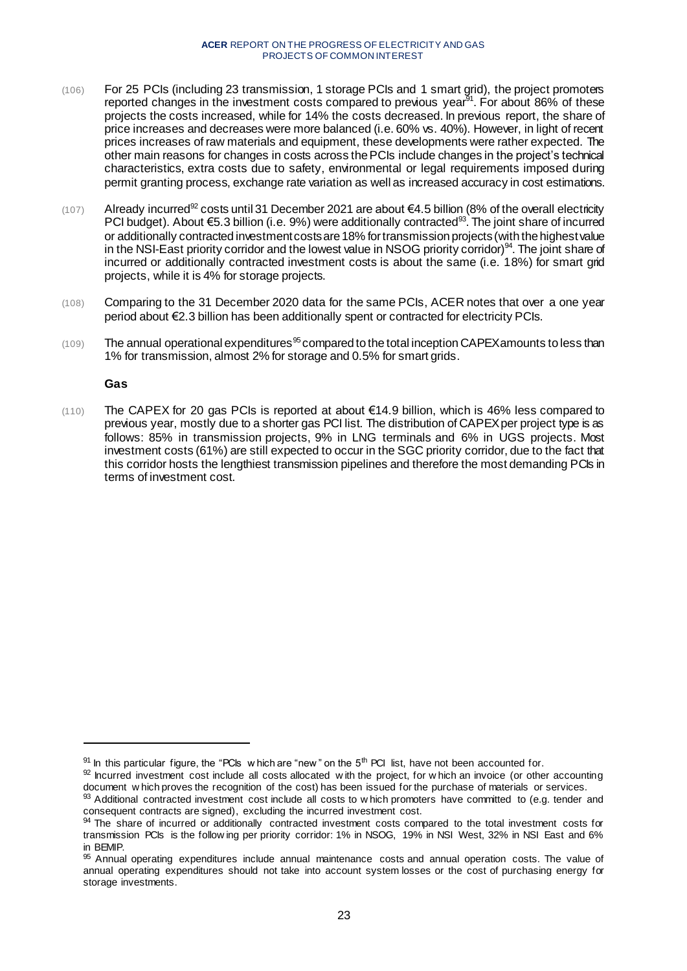- (106) For 25 PCIs (including 23 transmission, 1 storage PCIs and 1 smart grid), the project promoters reported changes in the investment costs compared to previous year<sup>91</sup>. For about 86% of these projects the costs increased, while for 14% the costs decreased. In previous report, the share of price increases and decreases were more balanced (i.e. 60% vs. 40%). However, in light of recent prices increases of raw materials and equipment, these developments were rather expected. The other main reasons for changes in costs across the PCIs include changes in the project's technical characteristics, extra costs due to safety, environmental or legal requirements imposed during permit granting process, exchange rate variation as well as increased accuracy in cost estimations.
- (107) Already incurred<sup>92</sup> costs until 31 December 2021 are about €4.5 billion (8% of the overall electricity PCI budget). About €5.3 billion (i.e. 9%) were additionally contracted<sup>33</sup>. The joint share of incurred or additionally contracted investment costs are 18% for transmission projects (with the highest value in the NSI-East priority corridor and the lowest value in NSOG priority corridor)<sup>94</sup>. The joint share of incurred or additionally contracted investment costs is about the same (i.e. 18%) for smart grid projects, while it is 4% for storage projects.
- (108) Comparing to the 31 December 2020 data for the same PCIs, ACER notes that over a one year period about €2.3 billion has been additionally spent or contracted for electricity PCIs.
- $(109)$  The annual operational expenditures<sup>95</sup> compared to the total inception CAPEX amounts to less than 1% for transmission, almost 2% for storage and 0.5% for smart grids.

### **Gas**

l

(110) The CAPEX for 20 gas PCIs is reported at about €14.9 billion, which is 46% less compared to previous year, mostly due to a shorter gas PCI list. The distribution of CAPEX per project type is as follows: 85% in transmission projects, 9% in LNG terminals and 6% in UGS projects. Most investment costs (61%) are still expected to occur in the SGC priority corridor, due to the fact that this corridor hosts the lengthiest transmission pipelines and therefore the most demanding PCIs in terms of investment cost.

 $91$  In this particular figure, the "PCIs w hich are "new" on the  $5<sup>th</sup>$  PCI list, have not been accounted for.

 $92$  Incurred investment cost include all costs allocated with the project, for w hich an invoice (or other accounting document w hich proves the recognition of the cost) has been issued for the purchase of materials or services.

 $93$  Additional contracted investment cost include all costs to w hich promoters have committed to (e.g. tender and consequent contracts are signed), excluding the incurred investment cost.

<sup>94</sup> The share of incurred or additionally contracted investment costs compared to the total investment costs for transmission PCIs is the follow ing per priority corridor: 1% in NSOG, 19% in NSI West, 32% in NSI East and 6% in BEMIP.

<sup>95</sup> Annual operating expenditures include annual maintenance costs and annual operation costs. The value of annual operating expenditures should not take into account system losses or the cost of purchasing energy for storage investments.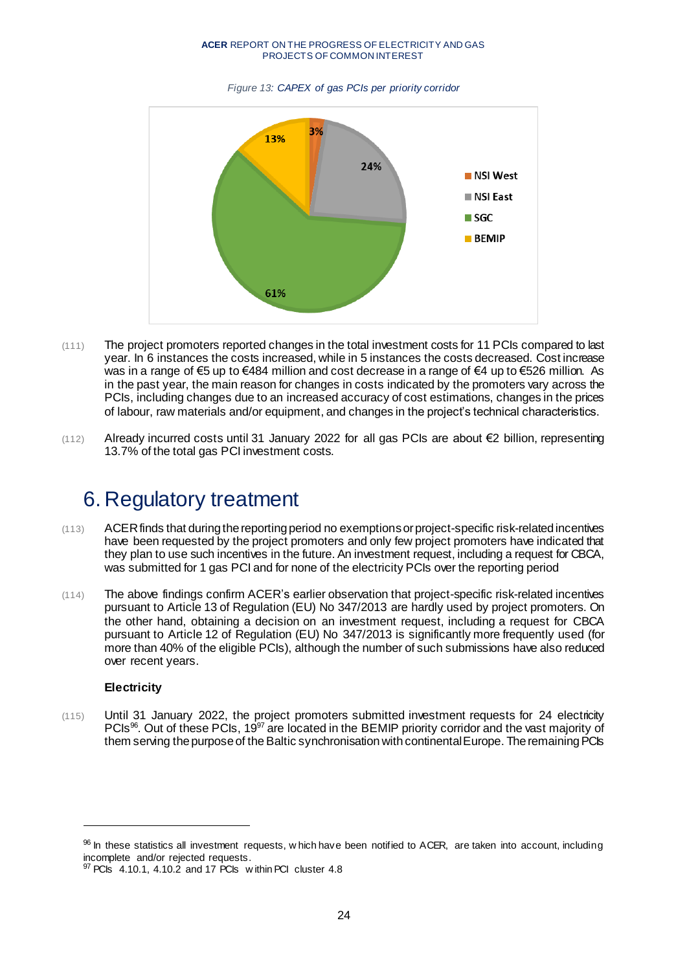![](_page_23_Figure_1.jpeg)

#### *Figure 13: CAPEX of gas PCIs per priority corridor*

- (111) The project promoters reported changes in the total investment costs for 11 PCIs compared to last year. In 6 instances the costs increased, while in 5 instances the costs decreased. Cost increase was in a range of €5 up to €484 million and cost decrease in a range of €4 up to €526 million. As in the past year, the main reason for changes in costs indicated by the promoters vary across the PCIs, including changes due to an increased accuracy of cost estimations, changes in the prices of labour, raw materials and/or equipment, and changes in the project's technical characteristics.
- (112) Already incurred costs until 31 January 2022 for all gas PCIs are about €2 billion, representing 13.7% of the total gas PCI investment costs.

# <span id="page-23-0"></span>6. Regulatory treatment

- (113) ACER finds that during the reporting period no exemptionsor project-specific risk-related incentives have been requested by the project promoters and only few project promoters have indicated that they plan to use such incentives in the future. An investment request, including a request for CBCA, was submitted for 1 gas PCI and for none of the electricity PCIs over the reporting period
- (114) The above findings confirm ACER's earlier observation that project-specific risk-related incentives pursuant to Article 13 of Regulation (EU) No 347/2013 are hardly used by project promoters. On the other hand, obtaining a decision on an investment request, including a request for CBCA pursuant to Article 12 of Regulation (EU) No 347/2013 is significantly more frequently used (for more than 40% of the eligible PCIs), although the number of such submissions have also reduced over recent years.

# **Electricity**

l

(115) Until 31 January 2022, the project promoters submitted investment requests for 24 electricity PCIs<sup>96</sup>. Out of these PCIs, 19<sup>97</sup> are located in the BEMIP priority corridor and the vast majority of them serving the purpose of the Baltic synchronisation with continental Europe. The remaining PCIs

<sup>96</sup> In these statistics all investment requests, w hich have been notified to ACER, are taken into account, including incomplete and/or rejected requests.

<sup>97</sup> PCIs 4.10.1, 4.10.2 and 17 PCIs within PCI cluster 4.8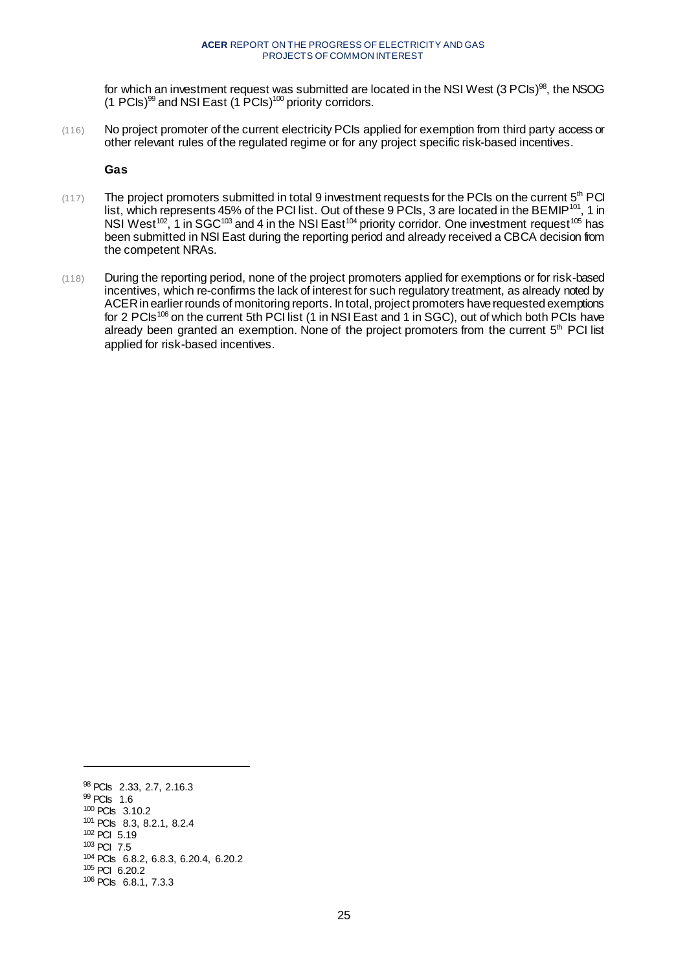for which an investment request was submitted are located in the NSI West  $(3 \text{ P} \text{C} \text{ls})^{\text{98}}$ , the NSOG (1 PCIs)<sup>99</sup> and NSI East (1 PCIs)<sup>100</sup> priority corridors.

(116) No project promoter of the current electricity PCIs applied for exemption from third party access or other relevant rules of the regulated regime or for any project specific risk-based incentives.

**Gas**

- $(117)$  The project promoters submitted in total 9 investment requests for the PCIs on the current  $5<sup>th</sup>$  PCI list, which represents 45% of the PCI list. Out of these 9 PCIs, 3 are located in the BEMIP<sup>101</sup>, 1 in NSI West<sup>102</sup>, 1 in SGC<sup>103</sup> and 4 in the NSI East<sup>104</sup> priority corridor. One investment request<sup>105</sup> has been submitted in NSI East during the reporting period and already received a CBCA decision from the competent NRAs.
- (118) During the reporting period, none of the project promoters applied for exemptions or for risk-based incentives, which re-confirms the lack of interest for such regulatory treatment, as already noted by ACER in earlier rounds of monitoring reports. In total, project promoters haverequested exemptions for 2 PCIs<sup>106</sup> on the current 5th PCI list (1 in NSI East and 1 in SGC), out of which both PCIs have already been granted an exemption. None of the project promoters from the current 5<sup>th</sup> PCI list applied for risk-based incentives.

<sup>98</sup> PCIs 2.33, 2.7, 2.16.3 <sup>99</sup> PCIs 1.6 <sup>100</sup> PCIs 3.10.2 <sup>101</sup> PCIs 8.3, 8.2.1, 8.2.4 <sup>102</sup> PCI 5.19 <sup>103</sup> PCI 7.5 <sup>104</sup> PCIs 6.8.2, 6.8.3, 6.20.4, 6.20.2 <sup>105</sup> PCI 6.20.2 <sup>106</sup> PCIs 6.8.1, 7.3.3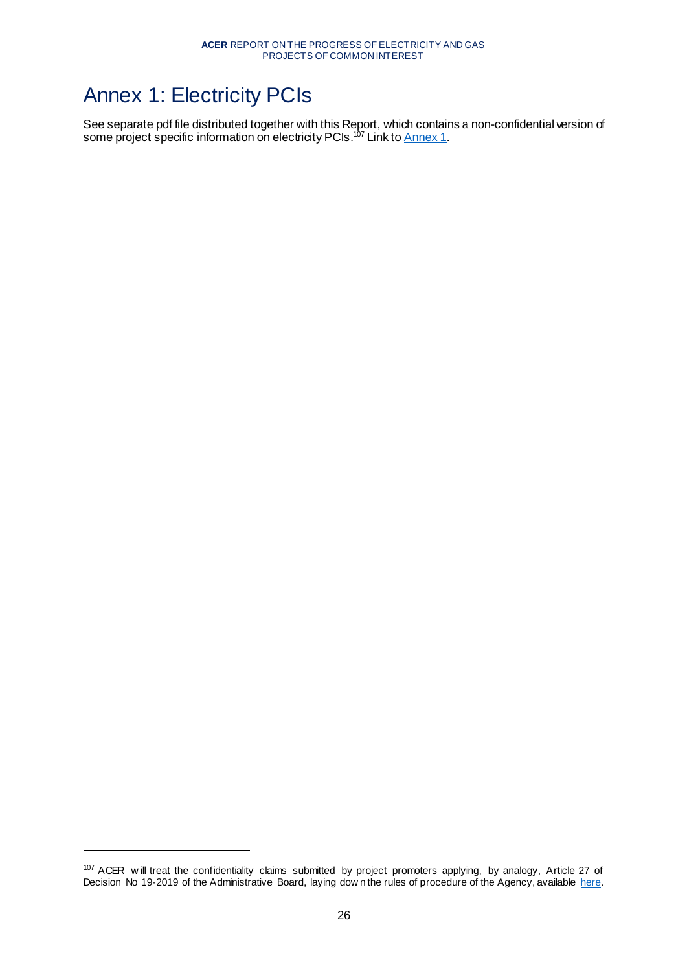# <span id="page-25-0"></span>Annex 1: Electricity PCIs

l

See separate pdf file distributed together with this Report, which contains a non-confidential version of some project specific information on electricity PCIs.<sup>107</sup> Link to <u>Annex 1</u>.

<sup>&</sup>lt;sup>107</sup> ACER will treat the confidentiality claims submitted by project promoters applying, by analogy, Article 27 of Decision No 19-2019 of the Administrative Board, laying dow n the rules of procedure of the Agency, available [here.](https://www.acer.europa.eu/en/The_agency/Organisation/Administrative_Board/Administrative%20Board%20Decision/Decision%20No%2019%20-%202019%20-%20Rules%20of%20Procedure%20of%20the%20Agency.pdf)